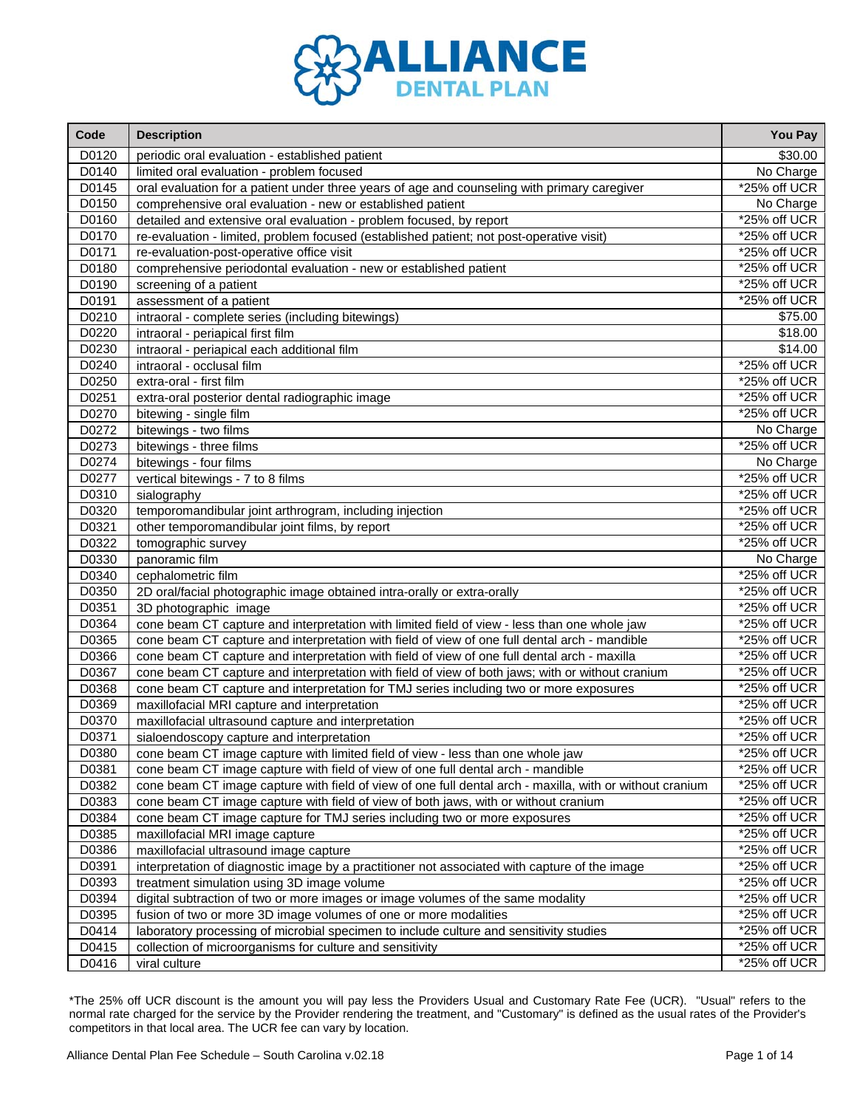

| Code  | <b>Description</b>                                                                                       | You Pay         |
|-------|----------------------------------------------------------------------------------------------------------|-----------------|
| D0120 | periodic oral evaluation - established patient                                                           | \$30.00         |
| D0140 | limited oral evaluation - problem focused                                                                | No Charge       |
| D0145 | oral evaluation for a patient under three years of age and counseling with primary caregiver             | *25% off UCR    |
| D0150 | comprehensive oral evaluation - new or established patient                                               | No Charge       |
| D0160 | detailed and extensive oral evaluation - problem focused, by report                                      | *25% off UCR    |
| D0170 | re-evaluation - limited, problem focused (established patient; not post-operative visit)                 | *25% off UCR    |
| D0171 | re-evaluation-post-operative office visit                                                                | *25% off UCR    |
| D0180 | comprehensive periodontal evaluation - new or established patient                                        | *25% off UCR    |
| D0190 | screening of a patient                                                                                   | *25% off UCR    |
| D0191 | assessment of a patient                                                                                  | *25% off UCR    |
| D0210 | intraoral - complete series (including bitewings)                                                        | \$75.00         |
| D0220 | intraoral - periapical first film                                                                        | \$18.00         |
| D0230 | intraoral - periapical each additional film                                                              | \$14.00         |
| D0240 | intraoral - occlusal film                                                                                | *25% off UCR    |
| D0250 | extra-oral - first film                                                                                  | *25% off UCR    |
| D0251 | extra-oral posterior dental radiographic image                                                           | *25% off UCR    |
| D0270 | bitewing - single film                                                                                   | *25% off UCR    |
| D0272 | bitewings - two films                                                                                    | No Charge       |
| D0273 | bitewings - three films                                                                                  | *25% off UCR    |
| D0274 | bitewings - four films                                                                                   | No Charge       |
| D0277 | vertical bitewings - 7 to 8 films                                                                        | *25% off UCR    |
| D0310 | sialography                                                                                              | *25% off UCR    |
| D0320 | temporomandibular joint arthrogram, including injection                                                  | *25% off UCR    |
| D0321 | other temporomandibular joint films, by report                                                           | *25% off UCR    |
| D0322 | tomographic survey                                                                                       | *25% off UCR    |
| D0330 | panoramic film                                                                                           | No Charge       |
| D0340 | cephalometric film                                                                                       | *25% off UCR    |
| D0350 | 2D oral/facial photographic image obtained intra-orally or extra-orally                                  | *25% off UCR    |
| D0351 | 3D photographic image                                                                                    | *25% off UCR    |
| D0364 | cone beam CT capture and interpretation with limited field of view - less than one whole jaw             | *25% off UCR    |
| D0365 | cone beam CT capture and interpretation with field of view of one full dental arch - mandible            | *25% off UCR    |
| D0366 | cone beam CT capture and interpretation with field of view of one full dental arch - maxilla             | *25% off UCR    |
| D0367 | cone beam CT capture and interpretation with field of view of both jaws; with or without cranium         | *25% off UCR    |
| D0368 | cone beam CT capture and interpretation for TMJ series including two or more exposures                   | *25% off UCR    |
| D0369 | maxillofacial MRI capture and interpretation                                                             | *25% off UCR    |
| D0370 | maxillofacial ultrasound capture and interpretation                                                      | *25% off UCR    |
| D0371 | sialoendoscopy capture and interpretation                                                                | *25% off UCR    |
| D0380 | cone beam CT image capture with limited field of view - less than one whole jaw                          | *25% off UCR    |
| D0381 | cone beam CT image capture with field of view of one full dental arch - mandible                         | *25% off UCR    |
| D0382 | cone beam CT image capture with field of view of one full dental arch - maxilla, with or without cranium | *25% off UCR    |
| D0383 | cone beam CT image capture with field of view of both jaws, with or without cranium                      | *25% off UCR    |
| D0384 | cone beam CT image capture for TMJ series including two or more exposures                                | *25% off UCR    |
| D0385 | maxillofacial MRI image capture                                                                          | *25% off UCR    |
| D0386 | maxillofacial ultrasound image capture                                                                   | *25% off UCR    |
| D0391 | interpretation of diagnostic image by a practitioner not associated with capture of the image            | *25% off UCR    |
| D0393 | treatment simulation using 3D image volume                                                               | *25% off UCR    |
| D0394 | digital subtraction of two or more images or image volumes of the same modality                          | $*25\%$ off UCR |
| D0395 | fusion of two or more 3D image volumes of one or more modalities                                         | $*25\%$ off UCR |
| D0414 | laboratory processing of microbial specimen to include culture and sensitivity studies                   | *25% off UCR    |
| D0415 | collection of microorganisms for culture and sensitivity                                                 | *25% off UCR    |
| D0416 | viral culture                                                                                            | *25% off UCR    |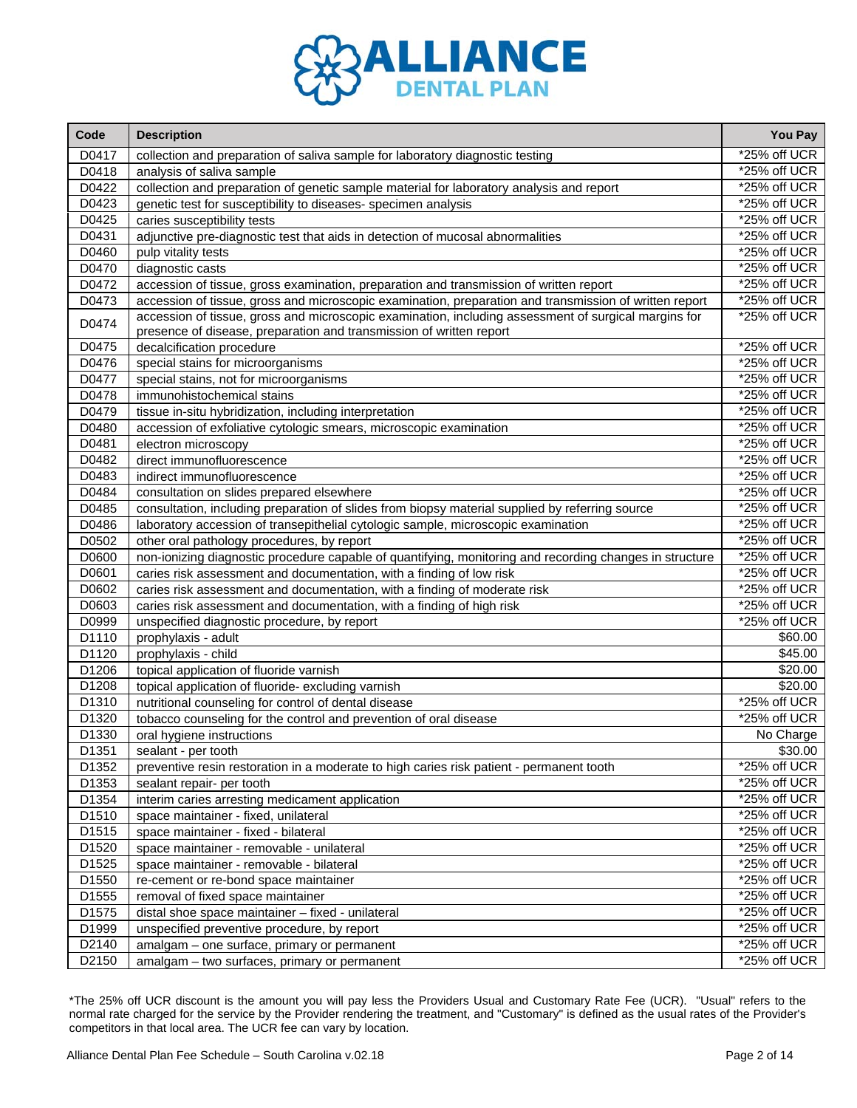

| Code  | <b>Description</b>                                                                                      | You Pay         |
|-------|---------------------------------------------------------------------------------------------------------|-----------------|
| D0417 | collection and preparation of saliva sample for laboratory diagnostic testing                           | *25% off UCR    |
| D0418 | analysis of saliva sample                                                                               | *25% off UCR    |
| D0422 | collection and preparation of genetic sample material for laboratory analysis and report                | *25% off UCR    |
| D0423 | genetic test for susceptibility to diseases- specimen analysis                                          | *25% off UCR    |
| D0425 | caries susceptibility tests                                                                             | *25% off UCR    |
| D0431 | adjunctive pre-diagnostic test that aids in detection of mucosal abnormalities                          | *25% off UCR    |
| D0460 | pulp vitality tests                                                                                     | *25% off UCR    |
| D0470 | diagnostic casts                                                                                        | *25% off UCR    |
| D0472 | accession of tissue, gross examination, preparation and transmission of written report                  | *25% off UCR    |
| D0473 | accession of tissue, gross and microscopic examination, preparation and transmission of written report  | *25% off UCR    |
| D0474 | accession of tissue, gross and microscopic examination, including assessment of surgical margins for    | *25% off UCR    |
|       | presence of disease, preparation and transmission of written report                                     |                 |
| D0475 | decalcification procedure                                                                               | *25% off UCR    |
| D0476 | special stains for microorganisms                                                                       | *25% off UCR    |
| D0477 | special stains, not for microorganisms                                                                  | *25% off UCR    |
| D0478 | immunohistochemical stains                                                                              | *25% off UCR    |
| D0479 | tissue in-situ hybridization, including interpretation                                                  | *25% off UCR    |
| D0480 | accession of exfoliative cytologic smears, microscopic examination                                      | *25% off UCR    |
| D0481 | electron microscopy                                                                                     | *25% off UCR    |
| D0482 | direct immunofluorescence                                                                               | *25% off UCR    |
| D0483 | indirect immunofluorescence                                                                             | *25% off UCR    |
| D0484 | consultation on slides prepared elsewhere                                                               | *25% off UCR    |
| D0485 | consultation, including preparation of slides from biopsy material supplied by referring source         | *25% off UCR    |
| D0486 | laboratory accession of transepithelial cytologic sample, microscopic examination                       | *25% off UCR    |
| D0502 | other oral pathology procedures, by report                                                              | *25% off UCR    |
| D0600 | non-ionizing diagnostic procedure capable of quantifying, monitoring and recording changes in structure | *25% off UCR    |
| D0601 | caries risk assessment and documentation, with a finding of low risk                                    | *25% off UCR    |
| D0602 | caries risk assessment and documentation, with a finding of moderate risk                               | *25% off UCR    |
| D0603 | caries risk assessment and documentation, with a finding of high risk                                   | *25% off UCR    |
| D0999 | unspecified diagnostic procedure, by report                                                             | *25% off UCR    |
| D1110 | prophylaxis - adult                                                                                     | \$60.00         |
| D1120 | prophylaxis - child                                                                                     | \$45.00         |
| D1206 | topical application of fluoride varnish                                                                 | \$20.00         |
| D1208 | topical application of fluoride-excluding varnish                                                       | \$20.00         |
| D1310 | nutritional counseling for control of dental disease                                                    | *25% off UCR    |
| D1320 | tobacco counseling for the control and prevention of oral disease                                       | *25% off UCR    |
| D1330 | oral hygiene instructions                                                                               | No Charge       |
| D1351 | sealant - per tooth                                                                                     | \$30.00         |
| D1352 | preventive resin restoration in a moderate to high caries risk patient - permanent tooth                | *25% off UCR    |
| D1353 | sealant repair- per tooth                                                                               | *25% off UCR    |
| D1354 | interim caries arresting medicament application                                                         | $*25%$ off UCR  |
| D1510 | space maintainer - fixed, unilateral                                                                    | *25% off UCR    |
| D1515 | space maintainer - fixed - bilateral                                                                    | *25% off UCR    |
| D1520 | space maintainer - removable - unilateral                                                               | *25% off UCR    |
| D1525 | space maintainer - removable - bilateral                                                                | *25% off UCR    |
| D1550 | re-cement or re-bond space maintainer                                                                   | *25% off UCR    |
| D1555 | removal of fixed space maintainer                                                                       | *25% off UCR    |
| D1575 | distal shoe space maintainer - fixed - unilateral                                                       | $*25\%$ off UCR |
| D1999 | unspecified preventive procedure, by report                                                             | *25% off UCR    |
| D2140 | amalgam - one surface, primary or permanent                                                             | *25% off UCR    |
| D2150 | amalgam - two surfaces, primary or permanent                                                            | *25% off UCR    |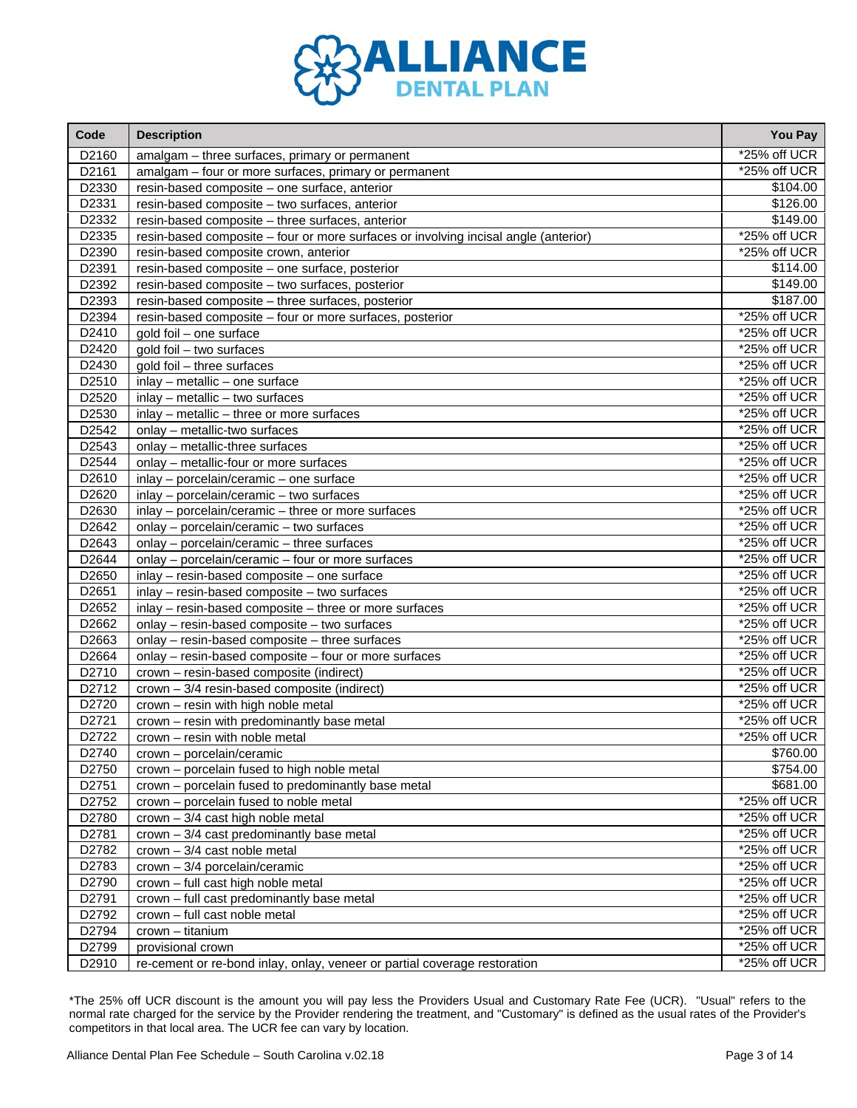

| Code  | <b>Description</b>                                                                  | You Pay        |
|-------|-------------------------------------------------------------------------------------|----------------|
| D2160 | amalgam - three surfaces, primary or permanent                                      | *25% off UCR   |
| D2161 | amalgam - four or more surfaces, primary or permanent                               | *25% off UCR   |
| D2330 | resin-based composite - one surface, anterior                                       | \$104.00       |
| D2331 | resin-based composite - two surfaces, anterior                                      | \$126.00       |
| D2332 | resin-based composite - three surfaces, anterior                                    | \$149.00       |
| D2335 | resin-based composite - four or more surfaces or involving incisal angle (anterior) | *25% off UCR   |
| D2390 | resin-based composite crown, anterior                                               | *25% off UCR   |
| D2391 | resin-based composite - one surface, posterior                                      | \$114.00       |
| D2392 | resin-based composite - two surfaces, posterior                                     | \$149.00       |
| D2393 | resin-based composite - three surfaces, posterior                                   | \$187.00       |
| D2394 | resin-based composite - four or more surfaces, posterior                            | *25% off UCR   |
| D2410 | gold foil - one surface                                                             | *25% off UCR   |
| D2420 | gold foil - two surfaces                                                            | *25% off UCR   |
| D2430 | gold foil - three surfaces                                                          | *25% off UCR   |
| D2510 | inlay - metallic - one surface                                                      | *25% off UCR   |
| D2520 | inlay - metallic - two surfaces                                                     | *25% off UCR   |
| D2530 | inlay - metallic - three or more surfaces                                           | *25% off UCR   |
| D2542 | onlay - metallic-two surfaces                                                       | *25% off UCR   |
| D2543 | onlay - metallic-three surfaces                                                     | *25% off UCR   |
| D2544 | onlay - metallic-four or more surfaces                                              | *25% off UCR   |
| D2610 | inlay - porcelain/ceramic - one surface                                             | *25% off UCR   |
| D2620 | inlay - porcelain/ceramic - two surfaces                                            | *25% off UCR   |
| D2630 | inlay - porcelain/ceramic - three or more surfaces                                  | *25% off UCR   |
| D2642 | onlay - porcelain/ceramic - two surfaces                                            | *25% off UCR   |
| D2643 | onlay - porcelain/ceramic - three surfaces                                          | *25% off UCR   |
| D2644 | onlay - porcelain/ceramic - four or more surfaces                                   | *25% off UCR   |
| D2650 | inlay - resin-based composite - one surface                                         | *25% off UCR   |
| D2651 | inlay - resin-based composite - two surfaces                                        | *25% off UCR   |
| D2652 | inlay - resin-based composite - three or more surfaces                              | $*25%$ off UCR |
| D2662 | onlay - resin-based composite - two surfaces                                        | *25% off UCR   |
| D2663 | onlay - resin-based composite - three surfaces                                      | *25% off UCR   |
| D2664 | onlay - resin-based composite - four or more surfaces                               | *25% off UCR   |
| D2710 | crown - resin-based composite (indirect)                                            | *25% off UCR   |
| D2712 | crown - 3/4 resin-based composite (indirect)                                        | *25% off UCR   |
| D2720 | crown - resin with high noble metal                                                 | *25% off UCR   |
| D2721 | crown - resin with predominantly base metal                                         | *25% off UCR   |
| D2722 | crown - resin with noble metal                                                      | *25% off UCR   |
| D2740 | crown - porcelain/ceramic                                                           | \$760.00       |
| D2750 | crown - porcelain fused to high noble metal                                         | \$754.00       |
| D2751 | crown - porcelain fused to predominantly base metal                                 | \$681.00       |
| D2752 | crown - porcelain fused to noble metal                                              | *25% off UCR   |
| D2780 | $crown - 3/4$ cast high noble metal                                                 | *25% off UCR   |
| D2781 | $crown - 3/4$ cast predominantly base metal                                         | *25% off UCR   |
| D2782 | $crown - 3/4$ cast noble metal                                                      | $*25%$ off UCR |
| D2783 | crown - 3/4 porcelain/ceramic                                                       | $*25%$ off UCR |
| D2790 | crown - full cast high noble metal                                                  | *25% off UCR   |
| D2791 | crown - full cast predominantly base metal                                          | *25% off UCR   |
| D2792 | crown - full cast noble metal                                                       | $*25%$ off UCR |
| D2794 | crown - titanium                                                                    | $*25%$ off UCR |
| D2799 | provisional crown                                                                   | *25% off UCR   |
| D2910 | re-cement or re-bond inlay, onlay, veneer or partial coverage restoration           | *25% off UCR   |

 $\mathcal{L}$ 

r.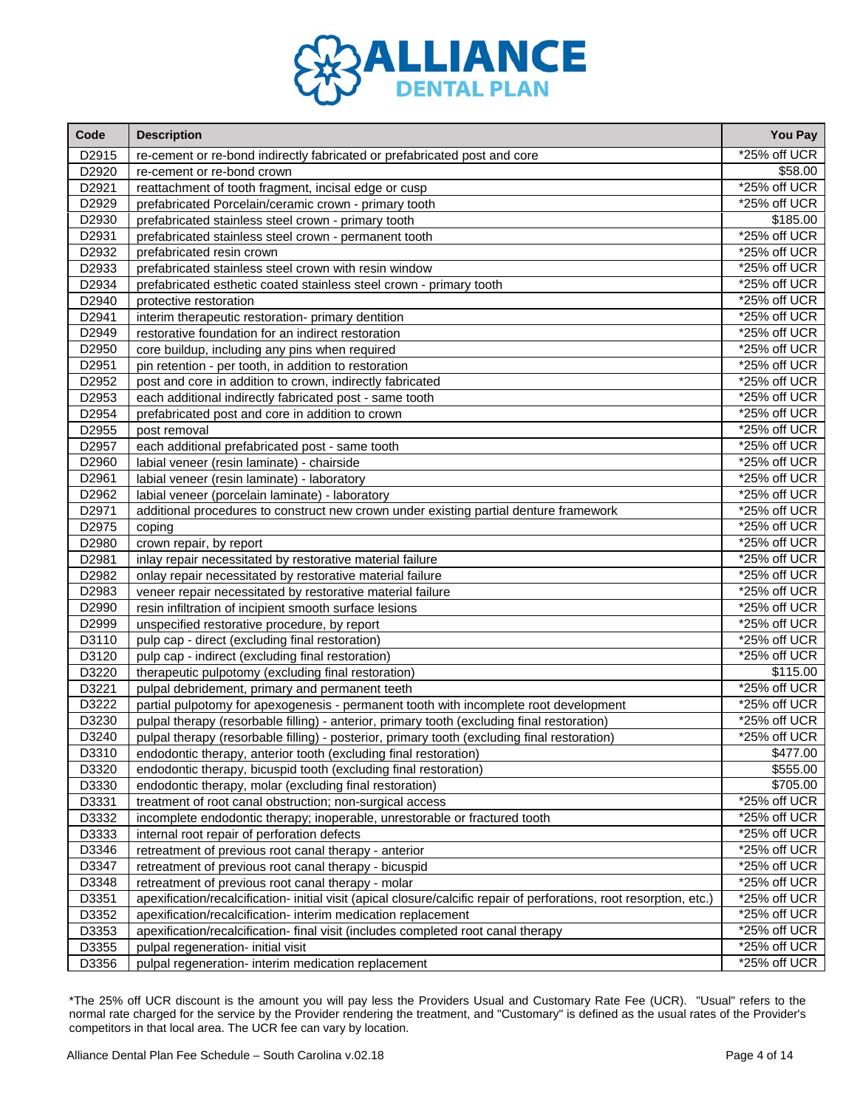

| Code  | <b>Description</b>                                                                                                   | You Pay      |
|-------|----------------------------------------------------------------------------------------------------------------------|--------------|
| D2915 | re-cement or re-bond indirectly fabricated or prefabricated post and core                                            | *25% off UCR |
| D2920 | re-cement or re-bond crown                                                                                           | \$58.00      |
| D2921 | reattachment of tooth fragment, incisal edge or cusp                                                                 | *25% off UCR |
| D2929 | prefabricated Porcelain/ceramic crown - primary tooth                                                                | *25% off UCR |
| D2930 | prefabricated stainless steel crown - primary tooth                                                                  | \$185.00     |
| D2931 | prefabricated stainless steel crown - permanent tooth                                                                | *25% off UCR |
| D2932 | prefabricated resin crown                                                                                            | *25% off UCR |
| D2933 | prefabricated stainless steel crown with resin window                                                                | *25% off UCR |
| D2934 | prefabricated esthetic coated stainless steel crown - primary tooth                                                  | *25% off UCR |
| D2940 | protective restoration                                                                                               | *25% off UCR |
| D2941 | interim therapeutic restoration- primary dentition                                                                   | *25% off UCR |
| D2949 | restorative foundation for an indirect restoration                                                                   | *25% off UCR |
| D2950 | core buildup, including any pins when required                                                                       | *25% off UCR |
| D2951 | pin retention - per tooth, in addition to restoration                                                                | *25% off UCR |
| D2952 | post and core in addition to crown, indirectly fabricated                                                            | *25% off UCR |
| D2953 | each additional indirectly fabricated post - same tooth                                                              | *25% off UCR |
| D2954 | prefabricated post and core in addition to crown                                                                     | *25% off UCR |
| D2955 | post removal                                                                                                         | *25% off UCR |
| D2957 | each additional prefabricated post - same tooth                                                                      | *25% off UCR |
| D2960 | labial veneer (resin laminate) - chairside                                                                           | *25% off UCR |
| D2961 | labial veneer (resin laminate) - laboratory                                                                          | *25% off UCR |
| D2962 | labial veneer (porcelain laminate) - laboratory                                                                      | *25% off UCR |
| D2971 | additional procedures to construct new crown under existing partial denture framework                                | *25% off UCR |
| D2975 | coping                                                                                                               | *25% off UCR |
| D2980 | crown repair, by report                                                                                              | *25% off UCR |
| D2981 | inlay repair necessitated by restorative material failure                                                            | *25% off UCR |
| D2982 | onlay repair necessitated by restorative material failure                                                            | *25% off UCR |
| D2983 | veneer repair necessitated by restorative material failure                                                           | *25% off UCR |
| D2990 | resin infiltration of incipient smooth surface lesions                                                               | *25% off UCR |
| D2999 | unspecified restorative procedure, by report                                                                         | *25% off UCR |
| D3110 | pulp cap - direct (excluding final restoration)                                                                      | *25% off UCR |
| D3120 | pulp cap - indirect (excluding final restoration)                                                                    | *25% off UCR |
| D3220 | therapeutic pulpotomy (excluding final restoration)                                                                  | \$115.00     |
| D3221 | pulpal debridement, primary and permanent teeth                                                                      | *25% off UCR |
| D3222 | partial pulpotomy for apexogenesis - permanent tooth with incomplete root development                                | *25% off UCR |
| D3230 | pulpal therapy (resorbable filling) - anterior, primary tooth (excluding final restoration)                          | *25% off UCR |
| D3240 | pulpal therapy (resorbable filling) - posterior, primary tooth (excluding final restoration)                         | *25% off UCR |
| D3310 | endodontic therapy, anterior tooth (excluding final restoration)                                                     | \$477.00     |
| D3320 | endodontic therapy, bicuspid tooth (excluding final restoration)                                                     | \$555.00     |
| D3330 | endodontic therapy, molar (excluding final restoration)                                                              | \$705.00     |
| D3331 | treatment of root canal obstruction; non-surgical access                                                             | *25% off UCR |
| D3332 | incomplete endodontic therapy; inoperable, unrestorable or fractured tooth                                           | *25% off UCR |
| D3333 | internal root repair of perforation defects                                                                          | *25% off UCR |
| D3346 | retreatment of previous root canal therapy - anterior                                                                | *25% off UCR |
| D3347 | retreatment of previous root canal therapy - bicuspid                                                                | *25% off UCR |
| D3348 | retreatment of previous root canal therapy - molar                                                                   | *25% off UCR |
| D3351 | apexification/recalcification- initial visit (apical closure/calcific repair of perforations, root resorption, etc.) | *25% off UCR |
| D3352 | apexification/recalcification- interim medication replacement                                                        | *25% off UCR |
| D3353 | apexification/recalcification- final visit (includes completed root canal therapy                                    | *25% off UCR |
| D3355 | pulpal regeneration- initial visit                                                                                   | *25% off UCR |
| D3356 | pulpal regeneration- interim medication replacement                                                                  | *25% off UCR |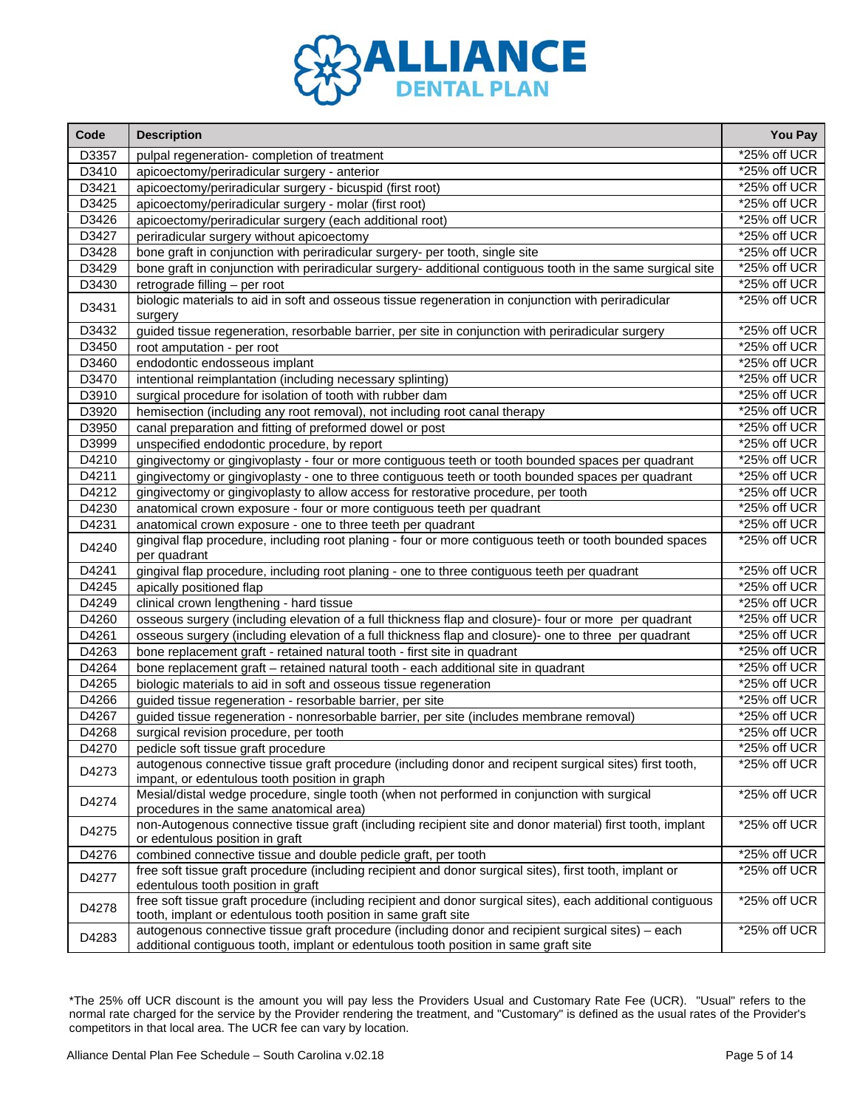

| Code  | <b>Description</b>                                                                                                                                                                         | You Pay        |
|-------|--------------------------------------------------------------------------------------------------------------------------------------------------------------------------------------------|----------------|
| D3357 | pulpal regeneration- completion of treatment                                                                                                                                               | *25% off UCR   |
| D3410 | apicoectomy/periradicular surgery - anterior                                                                                                                                               | *25% off UCR   |
| D3421 | apicoectomy/periradicular surgery - bicuspid (first root)                                                                                                                                  | *25% off UCR   |
| D3425 | apicoectomy/periradicular surgery - molar (first root)                                                                                                                                     | *25% off UCR   |
| D3426 | apicoectomy/periradicular surgery (each additional root)                                                                                                                                   | *25% off UCR   |
| D3427 | periradicular surgery without apicoectomy                                                                                                                                                  | *25% off UCR   |
| D3428 | bone graft in conjunction with periradicular surgery- per tooth, single site                                                                                                               | *25% off UCR   |
| D3429 | bone graft in conjunction with periradicular surgery- additional contiguous tooth in the same surgical site                                                                                | *25% off UCR   |
| D3430 | retrograde filling - per root                                                                                                                                                              | *25% off UCR   |
| D3431 | biologic materials to aid in soft and osseous tissue regeneration in conjunction with periradicular<br>surgery                                                                             | *25% off UCR   |
| D3432 | guided tissue regeneration, resorbable barrier, per site in conjunction with periradicular surgery                                                                                         | *25% off UCR   |
| D3450 | root amputation - per root                                                                                                                                                                 | *25% off UCR   |
| D3460 | endodontic endosseous implant                                                                                                                                                              | *25% off UCR   |
| D3470 | intentional reimplantation (including necessary splinting)                                                                                                                                 | *25% off UCR   |
| D3910 | surgical procedure for isolation of tooth with rubber dam                                                                                                                                  | *25% off UCR   |
| D3920 | hemisection (including any root removal), not including root canal therapy                                                                                                                 | *25% off UCR   |
| D3950 | canal preparation and fitting of preformed dowel or post                                                                                                                                   | *25% off UCR   |
| D3999 | unspecified endodontic procedure, by report                                                                                                                                                | *25% off UCR   |
| D4210 | gingivectomy or gingivoplasty - four or more contiguous teeth or tooth bounded spaces per quadrant                                                                                         | *25% off UCR   |
| D4211 | gingivectomy or gingivoplasty - one to three contiguous teeth or tooth bounded spaces per quadrant                                                                                         | *25% off UCR   |
| D4212 | gingivectomy or gingivoplasty to allow access for restorative procedure, per tooth                                                                                                         | *25% off UCR   |
| D4230 | anatomical crown exposure - four or more contiguous teeth per quadrant                                                                                                                     | *25% off UCR   |
| D4231 | anatomical crown exposure - one to three teeth per quadrant                                                                                                                                | *25% off UCR   |
| D4240 | gingival flap procedure, including root planing - four or more contiguous teeth or tooth bounded spaces<br>per quadrant                                                                    | *25% off UCR   |
| D4241 | gingival flap procedure, including root planing - one to three contiguous teeth per quadrant                                                                                               | *25% off UCR   |
| D4245 | apically positioned flap                                                                                                                                                                   | *25% off UCR   |
| D4249 | clinical crown lengthening - hard tissue                                                                                                                                                   | *25% off UCR   |
| D4260 | osseous surgery (including elevation of a full thickness flap and closure)- four or more per quadrant                                                                                      | *25% off UCR   |
| D4261 | osseous surgery (including elevation of a full thickness flap and closure)- one to three per quadrant                                                                                      | *25% off UCR   |
| D4263 | bone replacement graft - retained natural tooth - first site in quadrant                                                                                                                   | *25% off UCR   |
| D4264 | bone replacement graft - retained natural tooth - each additional site in quadrant                                                                                                         | *25% off UCR   |
| D4265 | biologic materials to aid in soft and osseous tissue regeneration                                                                                                                          | *25% off UCR   |
| D4266 | guided tissue regeneration - resorbable barrier, per site                                                                                                                                  | *25% off UCR   |
| D4267 | guided tissue regeneration - nonresorbable barrier, per site (includes membrane removal)                                                                                                   | *25% off UCR   |
| D4268 | surgical revision procedure, per tooth                                                                                                                                                     | *25% off UCR   |
| D4270 | pedicle soft tissue graft procedure                                                                                                                                                        | *25% off UCR   |
| D4273 | autogenous connective tissue graft procedure (including donor and recipent surgical sites) first tooth,<br>impant, or edentulous tooth position in graph                                   | *25% off UCR   |
| D4274 | Mesial/distal wedge procedure, single tooth (when not performed in conjunction with surgical<br>procedures in the same anatomical area)                                                    | *25% off UCR   |
| D4275 | non-Autogenous connective tissue graft (including recipient site and donor material) first tooth, implant<br>or edentulous position in graft                                               | *25% off UCR   |
| D4276 | combined connective tissue and double pedicle graft, per tooth                                                                                                                             | *25% off UCR   |
| D4277 | free soft tissue graft procedure (including recipient and donor surgical sites), first tooth, implant or<br>edentulous tooth position in graft                                             | $*25%$ off UCR |
| D4278 | free soft tissue graft procedure (including recipient and donor surgical sites), each additional contiguous<br>tooth, implant or edentulous tooth position in same graft site              | *25% off UCR   |
| D4283 | autogenous connective tissue graft procedure (including donor and recipient surgical sites) - each<br>additional contiguous tooth, implant or edentulous tooth position in same graft site | *25% off UCR   |

 $\mathcal{L}$ 

r.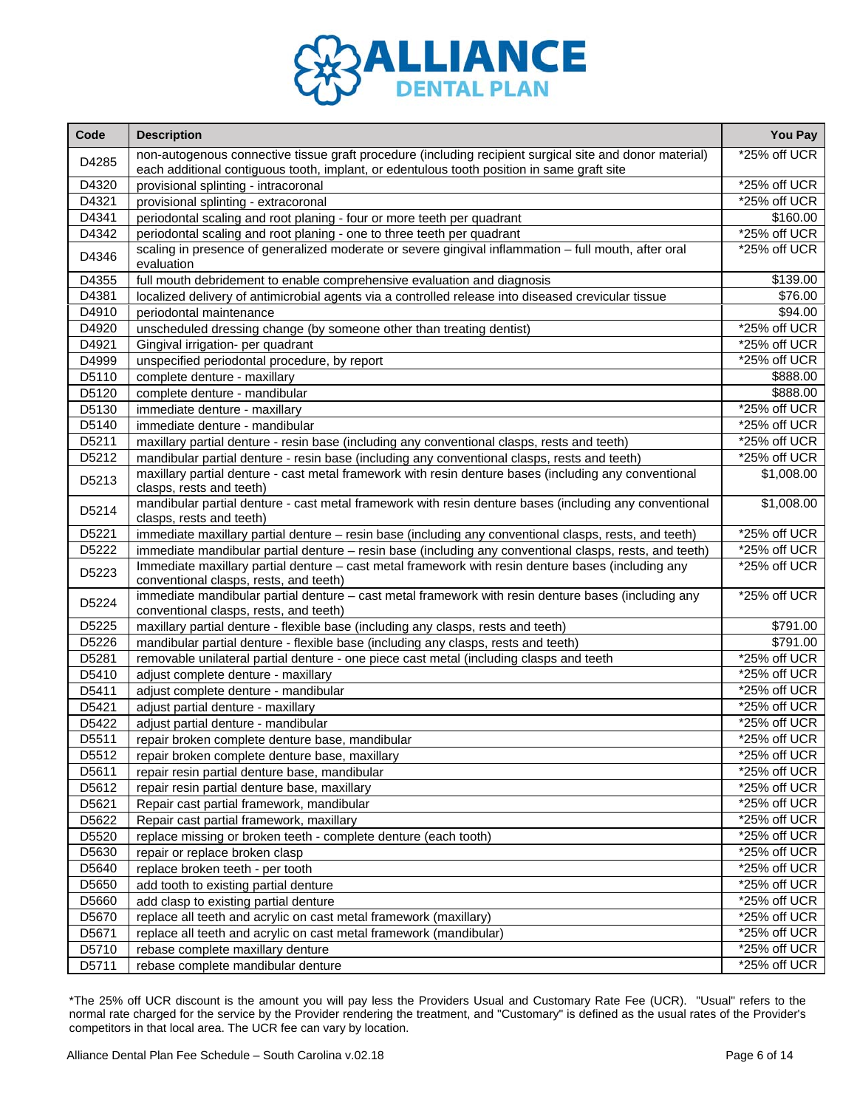

| D4285<br>each additional contiguous tooth, implant, or edentulous tooth position in same graft site<br>D4320<br>provisional splinting - intracoronal<br>D4321<br>provisional splinting - extracoronal<br>*25% off UCR<br>D4341<br>\$160.00<br>periodontal scaling and root planing - four or more teeth per quadrant<br>D4342<br>periodontal scaling and root planing - one to three teeth per quadrant<br>scaling in presence of generalized moderate or severe gingival inflammation - full mouth, after oral<br>D4346<br>evaluation<br>D4355<br>\$139.00<br>full mouth debridement to enable comprehensive evaluation and diagnosis<br>\$76.00<br>D4381<br>localized delivery of antimicrobial agents via a controlled release into diseased crevicular tissue<br>\$94.00<br>D4910<br>periodontal maintenance<br>*25% off UCR<br>D4920<br>unscheduled dressing change (by someone other than treating dentist)<br>D4921<br>*25% off UCR<br>Gingival irrigation- per quadrant<br>D4999<br>*25% off UCR<br>unspecified periodontal procedure, by report<br>D5110<br>\$888.00<br>complete denture - maxillary<br>D5120<br>\$888.00<br>complete denture - mandibular<br>D5130<br>immediate denture - maxillary<br>D5140<br>immediate denture - mandibular<br>D5211<br>maxillary partial denture - resin base (including any conventional clasps, rests and teeth)<br>D5212<br>mandibular partial denture - resin base (including any conventional clasps, rests and teeth)<br>maxillary partial denture - cast metal framework with resin denture bases (including any conventional<br>\$1,008.00<br>D5213<br>clasps, rests and teeth)<br>mandibular partial denture - cast metal framework with resin denture bases (including any conventional<br>\$1,008.00<br>D5214<br>clasps, rests and teeth)<br>D5221<br>immediate maxillary partial denture - resin base (including any conventional clasps, rests, and teeth)<br>immediate mandibular partial denture - resin base (including any conventional clasps, rests, and teeth)<br>D5222<br>Immediate maxillary partial denture - cast metal framework with resin denture bases (including any<br>D5223<br>conventional clasps, rests, and teeth)<br>immediate mandibular partial denture - cast metal framework with resin denture bases (including any<br>*25% off UCR<br>D5224<br>conventional clasps, rests, and teeth)<br>D5225<br>\$791.00<br>maxillary partial denture - flexible base (including any clasps, rests and teeth)<br>$$79\overline{1.00}$<br>D5226<br>mandibular partial denture - flexible base (including any clasps, rests and teeth)<br>*25% off UCR<br>D5281<br>removable unilateral partial denture - one piece cast metal (including clasps and teeth<br>D5410<br>*25% off UCR<br>adjust complete denture - maxillary<br>D5411<br>*25% off UCR<br>adjust complete denture - mandibular<br>D5421<br>adjust partial denture - maxillary<br>D5422<br>*25% off UCR<br>adjust partial denture - mandibular<br>*25% off UCR<br>D5511<br>repair broken complete denture base, mandibular<br>D5512<br>*25% off UCR<br>repair broken complete denture base, maxillary<br>*25% off UCR<br>D5611<br>repair resin partial denture base, mandibular<br>D5612<br>repair resin partial denture base, maxillary<br>*25% off UCR<br>D5621<br>Repair cast partial framework, mandibular<br>*25% off UCR<br>D5622<br>Repair cast partial framework, maxillary<br>D5520<br>replace missing or broken teeth - complete denture (each tooth)<br>D5630<br>*25% off UCR<br>repair or replace broken clasp<br>D5640<br>*25% off UCR<br>replace broken teeth - per tooth<br>D5650<br>*25% off UCR<br>add tooth to existing partial denture<br>D5660<br>*25% off UCR<br>add clasp to existing partial denture<br>D5670<br>*25% off UCR<br>replace all teeth and acrylic on cast metal framework (maxillary)<br>$*25%$ off UCR<br>D5671<br>replace all teeth and acrylic on cast metal framework (mandibular)<br>$*25\%$ off UCR<br>D5710<br>rebase complete maxillary denture | Code  | <b>Description</b>                                                                                      | You Pay         |
|--------------------------------------------------------------------------------------------------------------------------------------------------------------------------------------------------------------------------------------------------------------------------------------------------------------------------------------------------------------------------------------------------------------------------------------------------------------------------------------------------------------------------------------------------------------------------------------------------------------------------------------------------------------------------------------------------------------------------------------------------------------------------------------------------------------------------------------------------------------------------------------------------------------------------------------------------------------------------------------------------------------------------------------------------------------------------------------------------------------------------------------------------------------------------------------------------------------------------------------------------------------------------------------------------------------------------------------------------------------------------------------------------------------------------------------------------------------------------------------------------------------------------------------------------------------------------------------------------------------------------------------------------------------------------------------------------------------------------------------------------------------------------------------------------------------------------------------------------------------------------------------------------------------------------------------------------------------------------------------------------------------------------------------------------------------------------------------------------------------------------------------------------------------------------------------------------------------------------------------------------------------------------------------------------------------------------------------------------------------------------------------------------------------------------------------------------------------------------------------------------------------------------------------------------------------------------------------------------------------------------------------------------------------------------------------------------------------------------------------------------------------------------------------------------------------------------------------------------------------------------------------------------------------------------------------------------------------------------------------------------------------------------------------------------------------------------------------------------------------------------------------------------------------------------------------------------------------------------------------------------------------------------------------------------------------------------------------------------------------------------------------------------------------------------------------------------------------------------------------------------------------------------------------------------------------------------------------------------------------------------------------------------------------------------------------------------------------------------------------------------------------------------------------------------------------------------------------------------------------------------------------------------------------------------------------------------------------------------------------------------------------------------------|-------|---------------------------------------------------------------------------------------------------------|-----------------|
|                                                                                                                                                                                                                                                                                                                                                                                                                                                                                                                                                                                                                                                                                                                                                                                                                                                                                                                                                                                                                                                                                                                                                                                                                                                                                                                                                                                                                                                                                                                                                                                                                                                                                                                                                                                                                                                                                                                                                                                                                                                                                                                                                                                                                                                                                                                                                                                                                                                                                                                                                                                                                                                                                                                                                                                                                                                                                                                                                                                                                                                                                                                                                                                                                                                                                                                                                                                                                                                                                                                                                                                                                                                                                                                                                                                                                                                                                                                                                                                                                                |       | non-autogenous connective tissue graft procedure (including recipient surgical site and donor material) | *25% off UCR    |
|                                                                                                                                                                                                                                                                                                                                                                                                                                                                                                                                                                                                                                                                                                                                                                                                                                                                                                                                                                                                                                                                                                                                                                                                                                                                                                                                                                                                                                                                                                                                                                                                                                                                                                                                                                                                                                                                                                                                                                                                                                                                                                                                                                                                                                                                                                                                                                                                                                                                                                                                                                                                                                                                                                                                                                                                                                                                                                                                                                                                                                                                                                                                                                                                                                                                                                                                                                                                                                                                                                                                                                                                                                                                                                                                                                                                                                                                                                                                                                                                                                |       |                                                                                                         | $*25\%$ off UCR |
|                                                                                                                                                                                                                                                                                                                                                                                                                                                                                                                                                                                                                                                                                                                                                                                                                                                                                                                                                                                                                                                                                                                                                                                                                                                                                                                                                                                                                                                                                                                                                                                                                                                                                                                                                                                                                                                                                                                                                                                                                                                                                                                                                                                                                                                                                                                                                                                                                                                                                                                                                                                                                                                                                                                                                                                                                                                                                                                                                                                                                                                                                                                                                                                                                                                                                                                                                                                                                                                                                                                                                                                                                                                                                                                                                                                                                                                                                                                                                                                                                                |       |                                                                                                         |                 |
|                                                                                                                                                                                                                                                                                                                                                                                                                                                                                                                                                                                                                                                                                                                                                                                                                                                                                                                                                                                                                                                                                                                                                                                                                                                                                                                                                                                                                                                                                                                                                                                                                                                                                                                                                                                                                                                                                                                                                                                                                                                                                                                                                                                                                                                                                                                                                                                                                                                                                                                                                                                                                                                                                                                                                                                                                                                                                                                                                                                                                                                                                                                                                                                                                                                                                                                                                                                                                                                                                                                                                                                                                                                                                                                                                                                                                                                                                                                                                                                                                                |       |                                                                                                         |                 |
|                                                                                                                                                                                                                                                                                                                                                                                                                                                                                                                                                                                                                                                                                                                                                                                                                                                                                                                                                                                                                                                                                                                                                                                                                                                                                                                                                                                                                                                                                                                                                                                                                                                                                                                                                                                                                                                                                                                                                                                                                                                                                                                                                                                                                                                                                                                                                                                                                                                                                                                                                                                                                                                                                                                                                                                                                                                                                                                                                                                                                                                                                                                                                                                                                                                                                                                                                                                                                                                                                                                                                                                                                                                                                                                                                                                                                                                                                                                                                                                                                                |       |                                                                                                         | *25% off UCR    |
|                                                                                                                                                                                                                                                                                                                                                                                                                                                                                                                                                                                                                                                                                                                                                                                                                                                                                                                                                                                                                                                                                                                                                                                                                                                                                                                                                                                                                                                                                                                                                                                                                                                                                                                                                                                                                                                                                                                                                                                                                                                                                                                                                                                                                                                                                                                                                                                                                                                                                                                                                                                                                                                                                                                                                                                                                                                                                                                                                                                                                                                                                                                                                                                                                                                                                                                                                                                                                                                                                                                                                                                                                                                                                                                                                                                                                                                                                                                                                                                                                                |       |                                                                                                         | *25% off UCR    |
|                                                                                                                                                                                                                                                                                                                                                                                                                                                                                                                                                                                                                                                                                                                                                                                                                                                                                                                                                                                                                                                                                                                                                                                                                                                                                                                                                                                                                                                                                                                                                                                                                                                                                                                                                                                                                                                                                                                                                                                                                                                                                                                                                                                                                                                                                                                                                                                                                                                                                                                                                                                                                                                                                                                                                                                                                                                                                                                                                                                                                                                                                                                                                                                                                                                                                                                                                                                                                                                                                                                                                                                                                                                                                                                                                                                                                                                                                                                                                                                                                                |       |                                                                                                         |                 |
|                                                                                                                                                                                                                                                                                                                                                                                                                                                                                                                                                                                                                                                                                                                                                                                                                                                                                                                                                                                                                                                                                                                                                                                                                                                                                                                                                                                                                                                                                                                                                                                                                                                                                                                                                                                                                                                                                                                                                                                                                                                                                                                                                                                                                                                                                                                                                                                                                                                                                                                                                                                                                                                                                                                                                                                                                                                                                                                                                                                                                                                                                                                                                                                                                                                                                                                                                                                                                                                                                                                                                                                                                                                                                                                                                                                                                                                                                                                                                                                                                                |       |                                                                                                         |                 |
|                                                                                                                                                                                                                                                                                                                                                                                                                                                                                                                                                                                                                                                                                                                                                                                                                                                                                                                                                                                                                                                                                                                                                                                                                                                                                                                                                                                                                                                                                                                                                                                                                                                                                                                                                                                                                                                                                                                                                                                                                                                                                                                                                                                                                                                                                                                                                                                                                                                                                                                                                                                                                                                                                                                                                                                                                                                                                                                                                                                                                                                                                                                                                                                                                                                                                                                                                                                                                                                                                                                                                                                                                                                                                                                                                                                                                                                                                                                                                                                                                                |       |                                                                                                         |                 |
|                                                                                                                                                                                                                                                                                                                                                                                                                                                                                                                                                                                                                                                                                                                                                                                                                                                                                                                                                                                                                                                                                                                                                                                                                                                                                                                                                                                                                                                                                                                                                                                                                                                                                                                                                                                                                                                                                                                                                                                                                                                                                                                                                                                                                                                                                                                                                                                                                                                                                                                                                                                                                                                                                                                                                                                                                                                                                                                                                                                                                                                                                                                                                                                                                                                                                                                                                                                                                                                                                                                                                                                                                                                                                                                                                                                                                                                                                                                                                                                                                                |       |                                                                                                         |                 |
|                                                                                                                                                                                                                                                                                                                                                                                                                                                                                                                                                                                                                                                                                                                                                                                                                                                                                                                                                                                                                                                                                                                                                                                                                                                                                                                                                                                                                                                                                                                                                                                                                                                                                                                                                                                                                                                                                                                                                                                                                                                                                                                                                                                                                                                                                                                                                                                                                                                                                                                                                                                                                                                                                                                                                                                                                                                                                                                                                                                                                                                                                                                                                                                                                                                                                                                                                                                                                                                                                                                                                                                                                                                                                                                                                                                                                                                                                                                                                                                                                                |       |                                                                                                         |                 |
|                                                                                                                                                                                                                                                                                                                                                                                                                                                                                                                                                                                                                                                                                                                                                                                                                                                                                                                                                                                                                                                                                                                                                                                                                                                                                                                                                                                                                                                                                                                                                                                                                                                                                                                                                                                                                                                                                                                                                                                                                                                                                                                                                                                                                                                                                                                                                                                                                                                                                                                                                                                                                                                                                                                                                                                                                                                                                                                                                                                                                                                                                                                                                                                                                                                                                                                                                                                                                                                                                                                                                                                                                                                                                                                                                                                                                                                                                                                                                                                                                                |       |                                                                                                         |                 |
|                                                                                                                                                                                                                                                                                                                                                                                                                                                                                                                                                                                                                                                                                                                                                                                                                                                                                                                                                                                                                                                                                                                                                                                                                                                                                                                                                                                                                                                                                                                                                                                                                                                                                                                                                                                                                                                                                                                                                                                                                                                                                                                                                                                                                                                                                                                                                                                                                                                                                                                                                                                                                                                                                                                                                                                                                                                                                                                                                                                                                                                                                                                                                                                                                                                                                                                                                                                                                                                                                                                                                                                                                                                                                                                                                                                                                                                                                                                                                                                                                                |       |                                                                                                         |                 |
|                                                                                                                                                                                                                                                                                                                                                                                                                                                                                                                                                                                                                                                                                                                                                                                                                                                                                                                                                                                                                                                                                                                                                                                                                                                                                                                                                                                                                                                                                                                                                                                                                                                                                                                                                                                                                                                                                                                                                                                                                                                                                                                                                                                                                                                                                                                                                                                                                                                                                                                                                                                                                                                                                                                                                                                                                                                                                                                                                                                                                                                                                                                                                                                                                                                                                                                                                                                                                                                                                                                                                                                                                                                                                                                                                                                                                                                                                                                                                                                                                                |       |                                                                                                         |                 |
|                                                                                                                                                                                                                                                                                                                                                                                                                                                                                                                                                                                                                                                                                                                                                                                                                                                                                                                                                                                                                                                                                                                                                                                                                                                                                                                                                                                                                                                                                                                                                                                                                                                                                                                                                                                                                                                                                                                                                                                                                                                                                                                                                                                                                                                                                                                                                                                                                                                                                                                                                                                                                                                                                                                                                                                                                                                                                                                                                                                                                                                                                                                                                                                                                                                                                                                                                                                                                                                                                                                                                                                                                                                                                                                                                                                                                                                                                                                                                                                                                                |       |                                                                                                         | *25% off UCR    |
|                                                                                                                                                                                                                                                                                                                                                                                                                                                                                                                                                                                                                                                                                                                                                                                                                                                                                                                                                                                                                                                                                                                                                                                                                                                                                                                                                                                                                                                                                                                                                                                                                                                                                                                                                                                                                                                                                                                                                                                                                                                                                                                                                                                                                                                                                                                                                                                                                                                                                                                                                                                                                                                                                                                                                                                                                                                                                                                                                                                                                                                                                                                                                                                                                                                                                                                                                                                                                                                                                                                                                                                                                                                                                                                                                                                                                                                                                                                                                                                                                                |       |                                                                                                         | *25% off UCR    |
|                                                                                                                                                                                                                                                                                                                                                                                                                                                                                                                                                                                                                                                                                                                                                                                                                                                                                                                                                                                                                                                                                                                                                                                                                                                                                                                                                                                                                                                                                                                                                                                                                                                                                                                                                                                                                                                                                                                                                                                                                                                                                                                                                                                                                                                                                                                                                                                                                                                                                                                                                                                                                                                                                                                                                                                                                                                                                                                                                                                                                                                                                                                                                                                                                                                                                                                                                                                                                                                                                                                                                                                                                                                                                                                                                                                                                                                                                                                                                                                                                                |       |                                                                                                         | *25% off UCR    |
|                                                                                                                                                                                                                                                                                                                                                                                                                                                                                                                                                                                                                                                                                                                                                                                                                                                                                                                                                                                                                                                                                                                                                                                                                                                                                                                                                                                                                                                                                                                                                                                                                                                                                                                                                                                                                                                                                                                                                                                                                                                                                                                                                                                                                                                                                                                                                                                                                                                                                                                                                                                                                                                                                                                                                                                                                                                                                                                                                                                                                                                                                                                                                                                                                                                                                                                                                                                                                                                                                                                                                                                                                                                                                                                                                                                                                                                                                                                                                                                                                                |       |                                                                                                         | *25% off UCR    |
|                                                                                                                                                                                                                                                                                                                                                                                                                                                                                                                                                                                                                                                                                                                                                                                                                                                                                                                                                                                                                                                                                                                                                                                                                                                                                                                                                                                                                                                                                                                                                                                                                                                                                                                                                                                                                                                                                                                                                                                                                                                                                                                                                                                                                                                                                                                                                                                                                                                                                                                                                                                                                                                                                                                                                                                                                                                                                                                                                                                                                                                                                                                                                                                                                                                                                                                                                                                                                                                                                                                                                                                                                                                                                                                                                                                                                                                                                                                                                                                                                                |       |                                                                                                         |                 |
|                                                                                                                                                                                                                                                                                                                                                                                                                                                                                                                                                                                                                                                                                                                                                                                                                                                                                                                                                                                                                                                                                                                                                                                                                                                                                                                                                                                                                                                                                                                                                                                                                                                                                                                                                                                                                                                                                                                                                                                                                                                                                                                                                                                                                                                                                                                                                                                                                                                                                                                                                                                                                                                                                                                                                                                                                                                                                                                                                                                                                                                                                                                                                                                                                                                                                                                                                                                                                                                                                                                                                                                                                                                                                                                                                                                                                                                                                                                                                                                                                                |       |                                                                                                         |                 |
|                                                                                                                                                                                                                                                                                                                                                                                                                                                                                                                                                                                                                                                                                                                                                                                                                                                                                                                                                                                                                                                                                                                                                                                                                                                                                                                                                                                                                                                                                                                                                                                                                                                                                                                                                                                                                                                                                                                                                                                                                                                                                                                                                                                                                                                                                                                                                                                                                                                                                                                                                                                                                                                                                                                                                                                                                                                                                                                                                                                                                                                                                                                                                                                                                                                                                                                                                                                                                                                                                                                                                                                                                                                                                                                                                                                                                                                                                                                                                                                                                                |       |                                                                                                         | *25% off UCR    |
|                                                                                                                                                                                                                                                                                                                                                                                                                                                                                                                                                                                                                                                                                                                                                                                                                                                                                                                                                                                                                                                                                                                                                                                                                                                                                                                                                                                                                                                                                                                                                                                                                                                                                                                                                                                                                                                                                                                                                                                                                                                                                                                                                                                                                                                                                                                                                                                                                                                                                                                                                                                                                                                                                                                                                                                                                                                                                                                                                                                                                                                                                                                                                                                                                                                                                                                                                                                                                                                                                                                                                                                                                                                                                                                                                                                                                                                                                                                                                                                                                                |       |                                                                                                         | *25% off UCR    |
|                                                                                                                                                                                                                                                                                                                                                                                                                                                                                                                                                                                                                                                                                                                                                                                                                                                                                                                                                                                                                                                                                                                                                                                                                                                                                                                                                                                                                                                                                                                                                                                                                                                                                                                                                                                                                                                                                                                                                                                                                                                                                                                                                                                                                                                                                                                                                                                                                                                                                                                                                                                                                                                                                                                                                                                                                                                                                                                                                                                                                                                                                                                                                                                                                                                                                                                                                                                                                                                                                                                                                                                                                                                                                                                                                                                                                                                                                                                                                                                                                                |       |                                                                                                         | *25% off UCR    |
|                                                                                                                                                                                                                                                                                                                                                                                                                                                                                                                                                                                                                                                                                                                                                                                                                                                                                                                                                                                                                                                                                                                                                                                                                                                                                                                                                                                                                                                                                                                                                                                                                                                                                                                                                                                                                                                                                                                                                                                                                                                                                                                                                                                                                                                                                                                                                                                                                                                                                                                                                                                                                                                                                                                                                                                                                                                                                                                                                                                                                                                                                                                                                                                                                                                                                                                                                                                                                                                                                                                                                                                                                                                                                                                                                                                                                                                                                                                                                                                                                                |       |                                                                                                         |                 |
|                                                                                                                                                                                                                                                                                                                                                                                                                                                                                                                                                                                                                                                                                                                                                                                                                                                                                                                                                                                                                                                                                                                                                                                                                                                                                                                                                                                                                                                                                                                                                                                                                                                                                                                                                                                                                                                                                                                                                                                                                                                                                                                                                                                                                                                                                                                                                                                                                                                                                                                                                                                                                                                                                                                                                                                                                                                                                                                                                                                                                                                                                                                                                                                                                                                                                                                                                                                                                                                                                                                                                                                                                                                                                                                                                                                                                                                                                                                                                                                                                                |       |                                                                                                         |                 |
|                                                                                                                                                                                                                                                                                                                                                                                                                                                                                                                                                                                                                                                                                                                                                                                                                                                                                                                                                                                                                                                                                                                                                                                                                                                                                                                                                                                                                                                                                                                                                                                                                                                                                                                                                                                                                                                                                                                                                                                                                                                                                                                                                                                                                                                                                                                                                                                                                                                                                                                                                                                                                                                                                                                                                                                                                                                                                                                                                                                                                                                                                                                                                                                                                                                                                                                                                                                                                                                                                                                                                                                                                                                                                                                                                                                                                                                                                                                                                                                                                                |       |                                                                                                         |                 |
|                                                                                                                                                                                                                                                                                                                                                                                                                                                                                                                                                                                                                                                                                                                                                                                                                                                                                                                                                                                                                                                                                                                                                                                                                                                                                                                                                                                                                                                                                                                                                                                                                                                                                                                                                                                                                                                                                                                                                                                                                                                                                                                                                                                                                                                                                                                                                                                                                                                                                                                                                                                                                                                                                                                                                                                                                                                                                                                                                                                                                                                                                                                                                                                                                                                                                                                                                                                                                                                                                                                                                                                                                                                                                                                                                                                                                                                                                                                                                                                                                                |       |                                                                                                         |                 |
|                                                                                                                                                                                                                                                                                                                                                                                                                                                                                                                                                                                                                                                                                                                                                                                                                                                                                                                                                                                                                                                                                                                                                                                                                                                                                                                                                                                                                                                                                                                                                                                                                                                                                                                                                                                                                                                                                                                                                                                                                                                                                                                                                                                                                                                                                                                                                                                                                                                                                                                                                                                                                                                                                                                                                                                                                                                                                                                                                                                                                                                                                                                                                                                                                                                                                                                                                                                                                                                                                                                                                                                                                                                                                                                                                                                                                                                                                                                                                                                                                                |       |                                                                                                         |                 |
|                                                                                                                                                                                                                                                                                                                                                                                                                                                                                                                                                                                                                                                                                                                                                                                                                                                                                                                                                                                                                                                                                                                                                                                                                                                                                                                                                                                                                                                                                                                                                                                                                                                                                                                                                                                                                                                                                                                                                                                                                                                                                                                                                                                                                                                                                                                                                                                                                                                                                                                                                                                                                                                                                                                                                                                                                                                                                                                                                                                                                                                                                                                                                                                                                                                                                                                                                                                                                                                                                                                                                                                                                                                                                                                                                                                                                                                                                                                                                                                                                                |       |                                                                                                         |                 |
|                                                                                                                                                                                                                                                                                                                                                                                                                                                                                                                                                                                                                                                                                                                                                                                                                                                                                                                                                                                                                                                                                                                                                                                                                                                                                                                                                                                                                                                                                                                                                                                                                                                                                                                                                                                                                                                                                                                                                                                                                                                                                                                                                                                                                                                                                                                                                                                                                                                                                                                                                                                                                                                                                                                                                                                                                                                                                                                                                                                                                                                                                                                                                                                                                                                                                                                                                                                                                                                                                                                                                                                                                                                                                                                                                                                                                                                                                                                                                                                                                                |       |                                                                                                         | *25% off UCR    |
|                                                                                                                                                                                                                                                                                                                                                                                                                                                                                                                                                                                                                                                                                                                                                                                                                                                                                                                                                                                                                                                                                                                                                                                                                                                                                                                                                                                                                                                                                                                                                                                                                                                                                                                                                                                                                                                                                                                                                                                                                                                                                                                                                                                                                                                                                                                                                                                                                                                                                                                                                                                                                                                                                                                                                                                                                                                                                                                                                                                                                                                                                                                                                                                                                                                                                                                                                                                                                                                                                                                                                                                                                                                                                                                                                                                                                                                                                                                                                                                                                                |       |                                                                                                         |                 |
|                                                                                                                                                                                                                                                                                                                                                                                                                                                                                                                                                                                                                                                                                                                                                                                                                                                                                                                                                                                                                                                                                                                                                                                                                                                                                                                                                                                                                                                                                                                                                                                                                                                                                                                                                                                                                                                                                                                                                                                                                                                                                                                                                                                                                                                                                                                                                                                                                                                                                                                                                                                                                                                                                                                                                                                                                                                                                                                                                                                                                                                                                                                                                                                                                                                                                                                                                                                                                                                                                                                                                                                                                                                                                                                                                                                                                                                                                                                                                                                                                                |       |                                                                                                         |                 |
|                                                                                                                                                                                                                                                                                                                                                                                                                                                                                                                                                                                                                                                                                                                                                                                                                                                                                                                                                                                                                                                                                                                                                                                                                                                                                                                                                                                                                                                                                                                                                                                                                                                                                                                                                                                                                                                                                                                                                                                                                                                                                                                                                                                                                                                                                                                                                                                                                                                                                                                                                                                                                                                                                                                                                                                                                                                                                                                                                                                                                                                                                                                                                                                                                                                                                                                                                                                                                                                                                                                                                                                                                                                                                                                                                                                                                                                                                                                                                                                                                                |       |                                                                                                         |                 |
|                                                                                                                                                                                                                                                                                                                                                                                                                                                                                                                                                                                                                                                                                                                                                                                                                                                                                                                                                                                                                                                                                                                                                                                                                                                                                                                                                                                                                                                                                                                                                                                                                                                                                                                                                                                                                                                                                                                                                                                                                                                                                                                                                                                                                                                                                                                                                                                                                                                                                                                                                                                                                                                                                                                                                                                                                                                                                                                                                                                                                                                                                                                                                                                                                                                                                                                                                                                                                                                                                                                                                                                                                                                                                                                                                                                                                                                                                                                                                                                                                                |       |                                                                                                         |                 |
|                                                                                                                                                                                                                                                                                                                                                                                                                                                                                                                                                                                                                                                                                                                                                                                                                                                                                                                                                                                                                                                                                                                                                                                                                                                                                                                                                                                                                                                                                                                                                                                                                                                                                                                                                                                                                                                                                                                                                                                                                                                                                                                                                                                                                                                                                                                                                                                                                                                                                                                                                                                                                                                                                                                                                                                                                                                                                                                                                                                                                                                                                                                                                                                                                                                                                                                                                                                                                                                                                                                                                                                                                                                                                                                                                                                                                                                                                                                                                                                                                                |       |                                                                                                         | *25% off UCR    |
|                                                                                                                                                                                                                                                                                                                                                                                                                                                                                                                                                                                                                                                                                                                                                                                                                                                                                                                                                                                                                                                                                                                                                                                                                                                                                                                                                                                                                                                                                                                                                                                                                                                                                                                                                                                                                                                                                                                                                                                                                                                                                                                                                                                                                                                                                                                                                                                                                                                                                                                                                                                                                                                                                                                                                                                                                                                                                                                                                                                                                                                                                                                                                                                                                                                                                                                                                                                                                                                                                                                                                                                                                                                                                                                                                                                                                                                                                                                                                                                                                                |       |                                                                                                         |                 |
|                                                                                                                                                                                                                                                                                                                                                                                                                                                                                                                                                                                                                                                                                                                                                                                                                                                                                                                                                                                                                                                                                                                                                                                                                                                                                                                                                                                                                                                                                                                                                                                                                                                                                                                                                                                                                                                                                                                                                                                                                                                                                                                                                                                                                                                                                                                                                                                                                                                                                                                                                                                                                                                                                                                                                                                                                                                                                                                                                                                                                                                                                                                                                                                                                                                                                                                                                                                                                                                                                                                                                                                                                                                                                                                                                                                                                                                                                                                                                                                                                                |       |                                                                                                         |                 |
|                                                                                                                                                                                                                                                                                                                                                                                                                                                                                                                                                                                                                                                                                                                                                                                                                                                                                                                                                                                                                                                                                                                                                                                                                                                                                                                                                                                                                                                                                                                                                                                                                                                                                                                                                                                                                                                                                                                                                                                                                                                                                                                                                                                                                                                                                                                                                                                                                                                                                                                                                                                                                                                                                                                                                                                                                                                                                                                                                                                                                                                                                                                                                                                                                                                                                                                                                                                                                                                                                                                                                                                                                                                                                                                                                                                                                                                                                                                                                                                                                                |       |                                                                                                         | *25% off UCR    |
|                                                                                                                                                                                                                                                                                                                                                                                                                                                                                                                                                                                                                                                                                                                                                                                                                                                                                                                                                                                                                                                                                                                                                                                                                                                                                                                                                                                                                                                                                                                                                                                                                                                                                                                                                                                                                                                                                                                                                                                                                                                                                                                                                                                                                                                                                                                                                                                                                                                                                                                                                                                                                                                                                                                                                                                                                                                                                                                                                                                                                                                                                                                                                                                                                                                                                                                                                                                                                                                                                                                                                                                                                                                                                                                                                                                                                                                                                                                                                                                                                                |       |                                                                                                         |                 |
|                                                                                                                                                                                                                                                                                                                                                                                                                                                                                                                                                                                                                                                                                                                                                                                                                                                                                                                                                                                                                                                                                                                                                                                                                                                                                                                                                                                                                                                                                                                                                                                                                                                                                                                                                                                                                                                                                                                                                                                                                                                                                                                                                                                                                                                                                                                                                                                                                                                                                                                                                                                                                                                                                                                                                                                                                                                                                                                                                                                                                                                                                                                                                                                                                                                                                                                                                                                                                                                                                                                                                                                                                                                                                                                                                                                                                                                                                                                                                                                                                                |       |                                                                                                         |                 |
|                                                                                                                                                                                                                                                                                                                                                                                                                                                                                                                                                                                                                                                                                                                                                                                                                                                                                                                                                                                                                                                                                                                                                                                                                                                                                                                                                                                                                                                                                                                                                                                                                                                                                                                                                                                                                                                                                                                                                                                                                                                                                                                                                                                                                                                                                                                                                                                                                                                                                                                                                                                                                                                                                                                                                                                                                                                                                                                                                                                                                                                                                                                                                                                                                                                                                                                                                                                                                                                                                                                                                                                                                                                                                                                                                                                                                                                                                                                                                                                                                                |       |                                                                                                         |                 |
|                                                                                                                                                                                                                                                                                                                                                                                                                                                                                                                                                                                                                                                                                                                                                                                                                                                                                                                                                                                                                                                                                                                                                                                                                                                                                                                                                                                                                                                                                                                                                                                                                                                                                                                                                                                                                                                                                                                                                                                                                                                                                                                                                                                                                                                                                                                                                                                                                                                                                                                                                                                                                                                                                                                                                                                                                                                                                                                                                                                                                                                                                                                                                                                                                                                                                                                                                                                                                                                                                                                                                                                                                                                                                                                                                                                                                                                                                                                                                                                                                                |       |                                                                                                         |                 |
|                                                                                                                                                                                                                                                                                                                                                                                                                                                                                                                                                                                                                                                                                                                                                                                                                                                                                                                                                                                                                                                                                                                                                                                                                                                                                                                                                                                                                                                                                                                                                                                                                                                                                                                                                                                                                                                                                                                                                                                                                                                                                                                                                                                                                                                                                                                                                                                                                                                                                                                                                                                                                                                                                                                                                                                                                                                                                                                                                                                                                                                                                                                                                                                                                                                                                                                                                                                                                                                                                                                                                                                                                                                                                                                                                                                                                                                                                                                                                                                                                                |       |                                                                                                         |                 |
|                                                                                                                                                                                                                                                                                                                                                                                                                                                                                                                                                                                                                                                                                                                                                                                                                                                                                                                                                                                                                                                                                                                                                                                                                                                                                                                                                                                                                                                                                                                                                                                                                                                                                                                                                                                                                                                                                                                                                                                                                                                                                                                                                                                                                                                                                                                                                                                                                                                                                                                                                                                                                                                                                                                                                                                                                                                                                                                                                                                                                                                                                                                                                                                                                                                                                                                                                                                                                                                                                                                                                                                                                                                                                                                                                                                                                                                                                                                                                                                                                                |       |                                                                                                         |                 |
|                                                                                                                                                                                                                                                                                                                                                                                                                                                                                                                                                                                                                                                                                                                                                                                                                                                                                                                                                                                                                                                                                                                                                                                                                                                                                                                                                                                                                                                                                                                                                                                                                                                                                                                                                                                                                                                                                                                                                                                                                                                                                                                                                                                                                                                                                                                                                                                                                                                                                                                                                                                                                                                                                                                                                                                                                                                                                                                                                                                                                                                                                                                                                                                                                                                                                                                                                                                                                                                                                                                                                                                                                                                                                                                                                                                                                                                                                                                                                                                                                                |       |                                                                                                         |                 |
|                                                                                                                                                                                                                                                                                                                                                                                                                                                                                                                                                                                                                                                                                                                                                                                                                                                                                                                                                                                                                                                                                                                                                                                                                                                                                                                                                                                                                                                                                                                                                                                                                                                                                                                                                                                                                                                                                                                                                                                                                                                                                                                                                                                                                                                                                                                                                                                                                                                                                                                                                                                                                                                                                                                                                                                                                                                                                                                                                                                                                                                                                                                                                                                                                                                                                                                                                                                                                                                                                                                                                                                                                                                                                                                                                                                                                                                                                                                                                                                                                                | D5711 | rebase complete mandibular denture                                                                      | *25% off UCR    |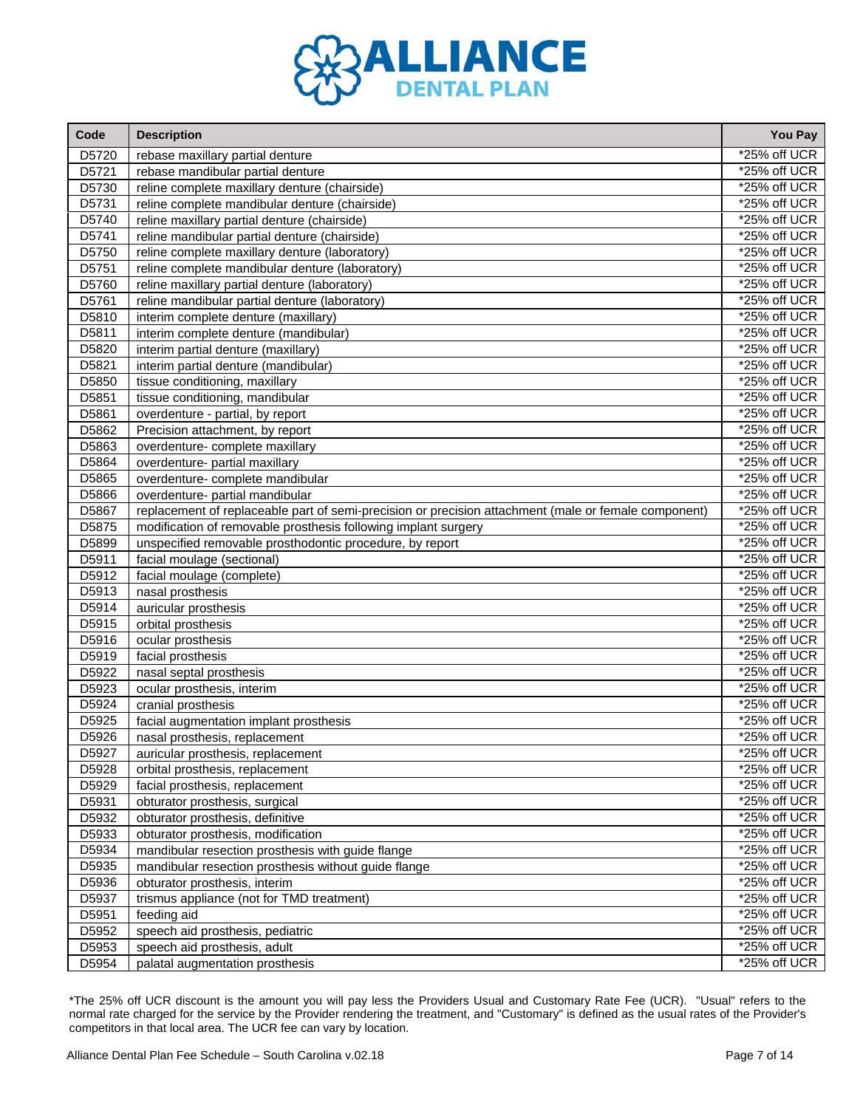

| Code  | <b>Description</b>                                                                                   | You Pay        |
|-------|------------------------------------------------------------------------------------------------------|----------------|
| D5720 | rebase maxillary partial denture                                                                     | *25% off UCR   |
| D5721 | rebase mandibular partial denture                                                                    | *25% off UCR   |
| D5730 | reline complete maxillary denture (chairside)                                                        | *25% off UCR   |
| D5731 | reline complete mandibular denture (chairside)                                                       | *25% off UCR   |
| D5740 | reline maxillary partial denture (chairside)                                                         | *25% off UCR   |
| D5741 | reline mandibular partial denture (chairside)                                                        | *25% off UCR   |
| D5750 | reline complete maxillary denture (laboratory)                                                       | *25% off UCR   |
| D5751 | reline complete mandibular denture (laboratory)                                                      | *25% off UCR   |
| D5760 | reline maxillary partial denture (laboratory)                                                        | *25% off UCR   |
| D5761 | reline mandibular partial denture (laboratory)                                                       | *25% off UCR   |
| D5810 | interim complete denture (maxillary)                                                                 | *25% off UCR   |
| D5811 | interim complete denture (mandibular)                                                                | *25% off UCR   |
| D5820 | interim partial denture (maxillary)                                                                  | *25% off UCR   |
| D5821 | interim partial denture (mandibular)                                                                 | *25% off UCR   |
| D5850 | tissue conditioning, maxillary                                                                       | *25% off UCR   |
| D5851 | tissue conditioning, mandibular                                                                      | *25% off UCR   |
| D5861 | overdenture - partial, by report                                                                     | *25% off UCR   |
| D5862 | Precision attachment, by report                                                                      | *25% off UCR   |
| D5863 | overdenture- complete maxillary                                                                      | *25% off UCR   |
| D5864 | overdenture- partial maxillary                                                                       | *25% off UCR   |
| D5865 | overdenture- complete mandibular                                                                     | *25% off UCR   |
| D5866 | overdenture- partial mandibular                                                                      | *25% off UCR   |
| D5867 | replacement of replaceable part of semi-precision or precision attachment (male or female component) | *25% off UCR   |
| D5875 | modification of removable prosthesis following implant surgery                                       | *25% off UCR   |
| D5899 | unspecified removable prosthodontic procedure, by report                                             | *25% off UCR   |
| D5911 | facial moulage (sectional)                                                                           | *25% off UCR   |
| D5912 | facial moulage (complete)                                                                            | *25% off UCR   |
| D5913 | nasal prosthesis                                                                                     | *25% off UCR   |
| D5914 | auricular prosthesis                                                                                 | *25% off UCR   |
| D5915 | orbital prosthesis                                                                                   | *25% off UCR   |
| D5916 | ocular prosthesis                                                                                    | *25% off UCR   |
| D5919 | facial prosthesis                                                                                    | *25% off UCR   |
| D5922 | nasal septal prosthesis                                                                              | *25% off UCR   |
| D5923 | ocular prosthesis, interim                                                                           | *25% off UCR   |
| D5924 | cranial prosthesis                                                                                   | *25% off UCR   |
| D5925 | facial augmentation implant prosthesis                                                               | *25% off UCR   |
| D5926 | nasal prosthesis, replacement                                                                        | *25% off UCR   |
| D5927 | auricular prosthesis, replacement                                                                    | *25% off UCR   |
| D5928 | orbital prosthesis, replacement                                                                      | *25% off UCR   |
| D5929 | facial prosthesis, replacement                                                                       | *25% off UCR   |
| D5931 | obturator prosthesis, surgical                                                                       | *25% off UCR   |
| D5932 | obturator prosthesis, definitive                                                                     | *25% off UCR   |
| D5933 | obturator prosthesis, modification                                                                   | *25% off UCR   |
| D5934 | mandibular resection prosthesis with guide flange                                                    | *25% off UCR   |
| D5935 | mandibular resection prosthesis without guide flange                                                 | *25% off UCR   |
| D5936 | obturator prosthesis, interim                                                                        | *25% off UCR   |
| D5937 | trismus appliance (not for TMD treatment)                                                            | *25% off UCR   |
| D5951 | feeding aid                                                                                          | *25% off UCR   |
| D5952 | speech aid prosthesis, pediatric                                                                     | *25% off UCR   |
| D5953 | speech aid prosthesis, adult                                                                         | $*25%$ off UCR |
| D5954 | palatal augmentation prosthesis                                                                      | *25% off UCR   |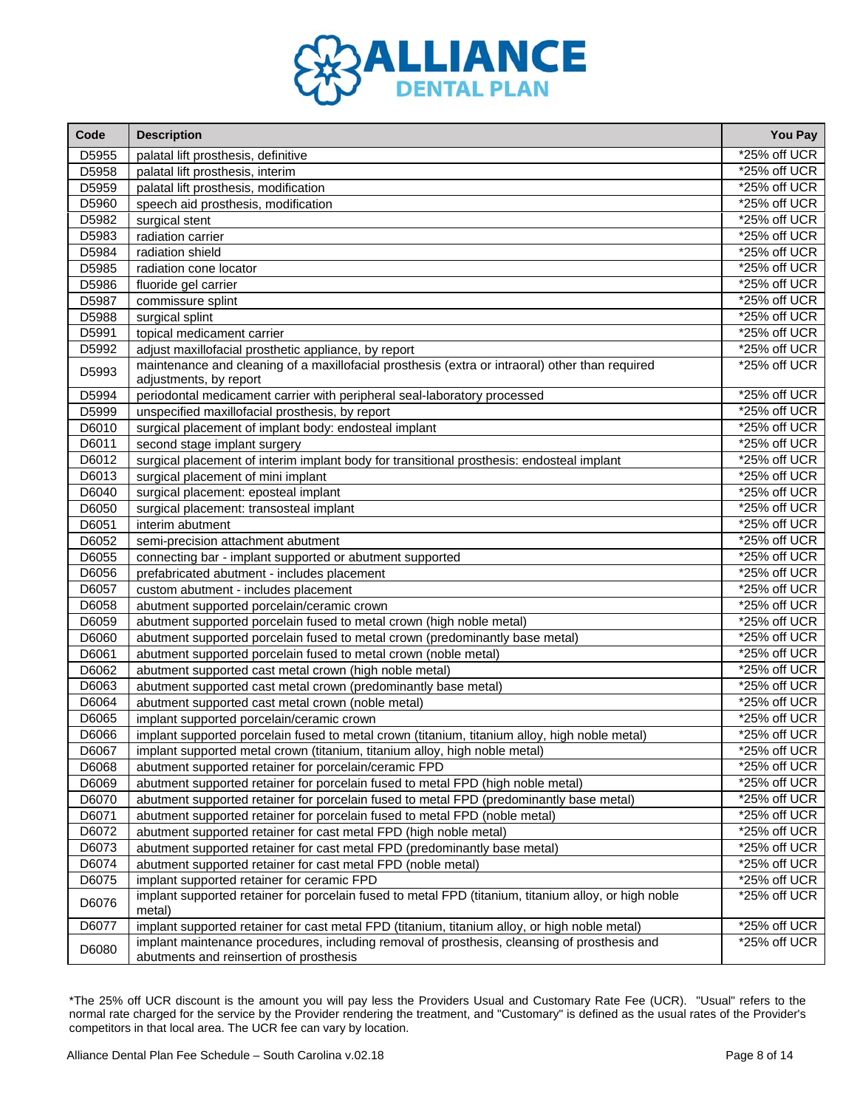

| Code  | <b>Description</b>                                                                                                                      | You Pay         |
|-------|-----------------------------------------------------------------------------------------------------------------------------------------|-----------------|
| D5955 | palatal lift prosthesis, definitive                                                                                                     | *25% off UCR    |
| D5958 | palatal lift prosthesis, interim                                                                                                        | *25% off UCR    |
| D5959 | palatal lift prosthesis, modification                                                                                                   | *25% off UCR    |
| D5960 | speech aid prosthesis, modification                                                                                                     | *25% off UCR    |
| D5982 | surgical stent                                                                                                                          | *25% off UCR    |
| D5983 | radiation carrier                                                                                                                       | *25% off UCR    |
| D5984 | radiation shield                                                                                                                        | *25% off UCR    |
| D5985 | radiation cone locator                                                                                                                  | *25% off UCR    |
| D5986 | fluoride gel carrier                                                                                                                    | *25% off UCR    |
| D5987 | commissure splint                                                                                                                       | *25% off UCR    |
| D5988 | surgical splint                                                                                                                         | *25% off UCR    |
| D5991 | topical medicament carrier                                                                                                              | *25% off UCR    |
| D5992 | adjust maxillofacial prosthetic appliance, by report                                                                                    | *25% off UCR    |
| D5993 | maintenance and cleaning of a maxillofacial prosthesis (extra or intraoral) other than required                                         | *25% off UCR    |
|       | adjustments, by report                                                                                                                  |                 |
| D5994 | periodontal medicament carrier with peripheral seal-laboratory processed                                                                | *25% off UCR    |
| D5999 | unspecified maxillofacial prosthesis, by report                                                                                         | *25% off UCR    |
| D6010 | surgical placement of implant body: endosteal implant                                                                                   | *25% off UCR    |
| D6011 | second stage implant surgery                                                                                                            | *25% off UCR    |
| D6012 | surgical placement of interim implant body for transitional prosthesis: endosteal implant                                               | *25% off UCR    |
| D6013 | surgical placement of mini implant                                                                                                      | *25% off UCR    |
| D6040 | surgical placement: eposteal implant                                                                                                    | *25% off UCR    |
| D6050 | surgical placement: transosteal implant                                                                                                 | *25% off UCR    |
| D6051 | interim abutment                                                                                                                        | *25% off UCR    |
| D6052 | semi-precision attachment abutment                                                                                                      | *25% off UCR    |
| D6055 | connecting bar - implant supported or abutment supported                                                                                | *25% off UCR    |
| D6056 | prefabricated abutment - includes placement                                                                                             | *25% off UCR    |
| D6057 | custom abutment - includes placement                                                                                                    | *25% off UCR    |
| D6058 | abutment supported porcelain/ceramic crown                                                                                              | *25% off UCR    |
| D6059 | abutment supported porcelain fused to metal crown (high noble metal)                                                                    | *25% off UCR    |
| D6060 | abutment supported porcelain fused to metal crown (predominantly base metal)                                                            | *25% off UCR    |
| D6061 | abutment supported porcelain fused to metal crown (noble metal)                                                                         | *25% off UCR    |
| D6062 | abutment supported cast metal crown (high noble metal)                                                                                  | *25% off UCR    |
| D6063 | abutment supported cast metal crown (predominantly base metal)                                                                          | *25% off UCR    |
| D6064 | abutment supported cast metal crown (noble metal)                                                                                       | *25% off UCR    |
| D6065 | implant supported porcelain/ceramic crown                                                                                               | *25% off UCR    |
| D6066 | implant supported porcelain fused to metal crown (titanium, titanium alloy, high noble metal)                                           | *25% off UCR    |
| D6067 | implant supported metal crown (titanium, titanium alloy, high noble metal)                                                              | *25% off UCR    |
| D6068 | abutment supported retainer for porcelain/ceramic FPD                                                                                   | *25% off UCR    |
| D6069 | abutment supported retainer for porcelain fused to metal FPD (high noble metal)                                                         | *25% off UCR    |
| D6070 | abutment supported retainer for porcelain fused to metal FPD (predominantly base metal)                                                 | *25% off UCR    |
| D6071 | abutment supported retainer for porcelain fused to metal FPD (noble metal)                                                              | *25% off UCR    |
| D6072 | abutment supported retainer for cast metal FPD (high noble metal)                                                                       | *25% off UCR    |
| D6073 | abutment supported retainer for cast metal FPD (predominantly base metal)                                                               | $*25\%$ off UCR |
| D6074 | abutment supported retainer for cast metal FPD (noble metal)                                                                            | $*25\%$ off UCR |
| D6075 | implant supported retainer for ceramic FPD                                                                                              | $*25\%$ off UCR |
| D6076 | implant supported retainer for porcelain fused to metal FPD (titanium, titanium alloy, or high noble<br>metal)                          | *25% off UCR    |
| D6077 | implant supported retainer for cast metal FPD (titanium, titanium alloy, or high noble metal)                                           | *25% off UCR    |
| D6080 | implant maintenance procedures, including removal of prosthesis, cleansing of prosthesis and<br>abutments and reinsertion of prosthesis | *25% off UCR    |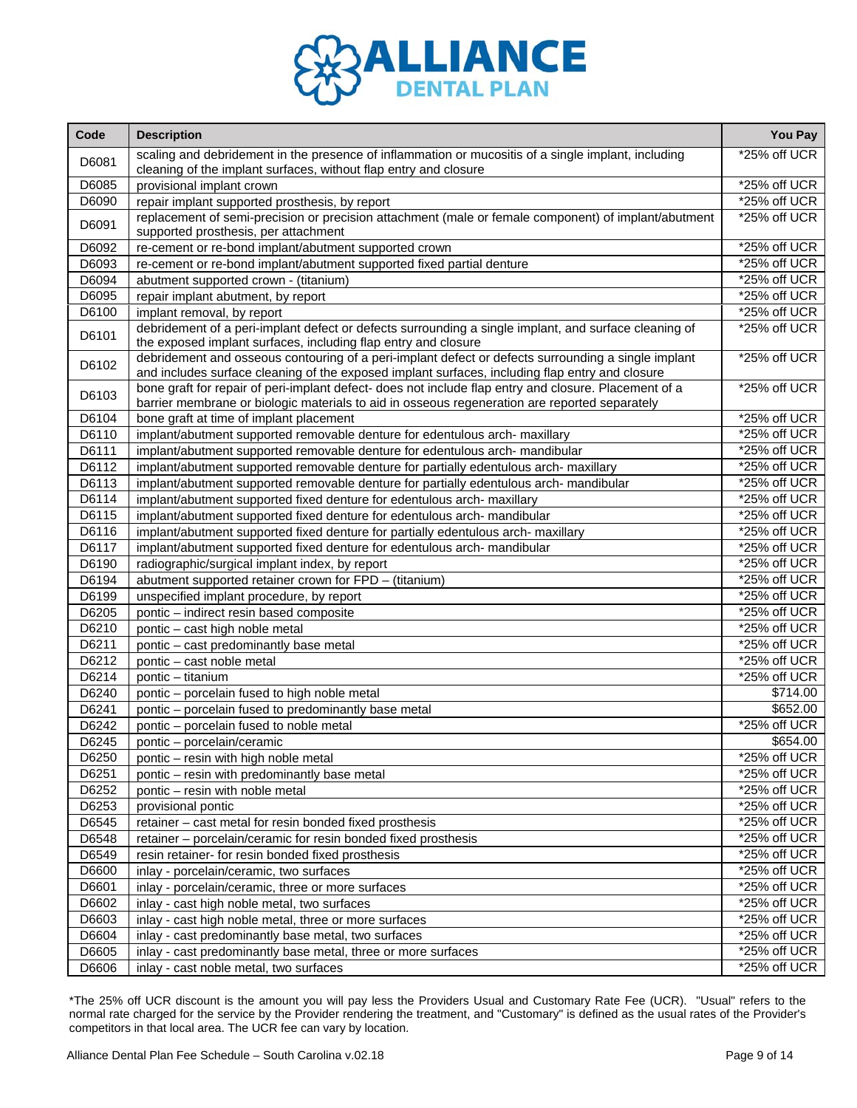

| Code  | <b>Description</b>                                                                                                                                                                                     | You Pay      |
|-------|--------------------------------------------------------------------------------------------------------------------------------------------------------------------------------------------------------|--------------|
| D6081 | scaling and debridement in the presence of inflammation or mucositis of a single implant, including<br>cleaning of the implant surfaces, without flap entry and closure                                | *25% off UCR |
| D6085 | provisional implant crown                                                                                                                                                                              | *25% off UCR |
| D6090 | repair implant supported prosthesis, by report                                                                                                                                                         | *25% off UCR |
| D6091 | replacement of semi-precision or precision attachment (male or female component) of implant/abutment<br>supported prosthesis, per attachment                                                           | *25% off UCR |
| D6092 | re-cement or re-bond implant/abutment supported crown                                                                                                                                                  | *25% off UCR |
| D6093 | re-cement or re-bond implant/abutment supported fixed partial denture                                                                                                                                  | *25% off UCR |
| D6094 | abutment supported crown - (titanium)                                                                                                                                                                  | *25% off UCR |
| D6095 | repair implant abutment, by report                                                                                                                                                                     | *25% off UCR |
| D6100 | implant removal, by report                                                                                                                                                                             | *25% off UCR |
| D6101 | debridement of a peri-implant defect or defects surrounding a single implant, and surface cleaning of<br>the exposed implant surfaces, including flap entry and closure                                | *25% off UCR |
| D6102 | debridement and osseous contouring of a peri-implant defect or defects surrounding a single implant<br>and includes surface cleaning of the exposed implant surfaces, including flap entry and closure | *25% off UCR |
| D6103 | bone graft for repair of peri-implant defect- does not include flap entry and closure. Placement of a<br>barrier membrane or biologic materials to aid in osseous regeneration are reported separately | *25% off UCR |
| D6104 | bone graft at time of implant placement                                                                                                                                                                | *25% off UCR |
| D6110 | implant/abutment supported removable denture for edentulous arch- maxillary                                                                                                                            | *25% off UCR |
| D6111 | implant/abutment supported removable denture for edentulous arch- mandibular                                                                                                                           | *25% off UCR |
| D6112 | implant/abutment supported removable denture for partially edentulous arch- maxillary                                                                                                                  | *25% off UCR |
| D6113 | implant/abutment supported removable denture for partially edentulous arch- mandibular                                                                                                                 | *25% off UCR |
| D6114 | implant/abutment supported fixed denture for edentulous arch- maxillary                                                                                                                                | *25% off UCR |
| D6115 | implant/abutment supported fixed denture for edentulous arch- mandibular                                                                                                                               | *25% off UCR |
| D6116 | implant/abutment supported fixed denture for partially edentulous arch- maxillary                                                                                                                      | *25% off UCR |
| D6117 | implant/abutment supported fixed denture for edentulous arch- mandibular                                                                                                                               | *25% off UCR |
| D6190 | radiographic/surgical implant index, by report                                                                                                                                                         | *25% off UCR |
| D6194 | abutment supported retainer crown for FPD - (titanium)                                                                                                                                                 | *25% off UCR |
| D6199 | unspecified implant procedure, by report                                                                                                                                                               | *25% off UCR |
| D6205 | pontic - indirect resin based composite                                                                                                                                                                | *25% off UCR |
| D6210 | pontic - cast high noble metal                                                                                                                                                                         | *25% off UCR |
| D6211 | pontic - cast predominantly base metal                                                                                                                                                                 | *25% off UCR |
| D6212 | pontic - cast noble metal                                                                                                                                                                              | *25% off UCR |
| D6214 | pontic - titanium                                                                                                                                                                                      | *25% off UCR |
| D6240 | pontic - porcelain fused to high noble metal                                                                                                                                                           | \$714.00     |
| D6241 | pontic - porcelain fused to predominantly base metal                                                                                                                                                   | \$652.00     |
| D6242 | pontic - porcelain fused to noble metal                                                                                                                                                                | *25% off UCR |
| D6245 | pontic - porcelain/ceramic                                                                                                                                                                             | \$654.00     |
| D6250 | pontic - resin with high noble metal                                                                                                                                                                   | *25% off UCR |
| D6251 | pontic - resin with predominantly base metal                                                                                                                                                           | *25% off UCR |
| D6252 | pontic - resin with noble metal                                                                                                                                                                        | *25% off UCR |
| D6253 | provisional pontic                                                                                                                                                                                     | *25% off UCR |
| D6545 | retainer - cast metal for resin bonded fixed prosthesis                                                                                                                                                | *25% off UCR |
| D6548 | retainer - porcelain/ceramic for resin bonded fixed prosthesis                                                                                                                                         | *25% off UCR |
| D6549 | resin retainer- for resin bonded fixed prosthesis                                                                                                                                                      | *25% off UCR |
| D6600 | inlay - porcelain/ceramic, two surfaces                                                                                                                                                                | *25% off UCR |
| D6601 | inlay - porcelain/ceramic, three or more surfaces                                                                                                                                                      | *25% off UCR |
| D6602 | inlay - cast high noble metal, two surfaces                                                                                                                                                            | *25% off UCR |
| D6603 | inlay - cast high noble metal, three or more surfaces                                                                                                                                                  | *25% off UCR |
| D6604 | inlay - cast predominantly base metal, two surfaces                                                                                                                                                    | *25% off UCR |
| D6605 | inlay - cast predominantly base metal, three or more surfaces                                                                                                                                          | *25% off UCR |
| D6606 | inlay - cast noble metal, two surfaces                                                                                                                                                                 | *25% off UCR |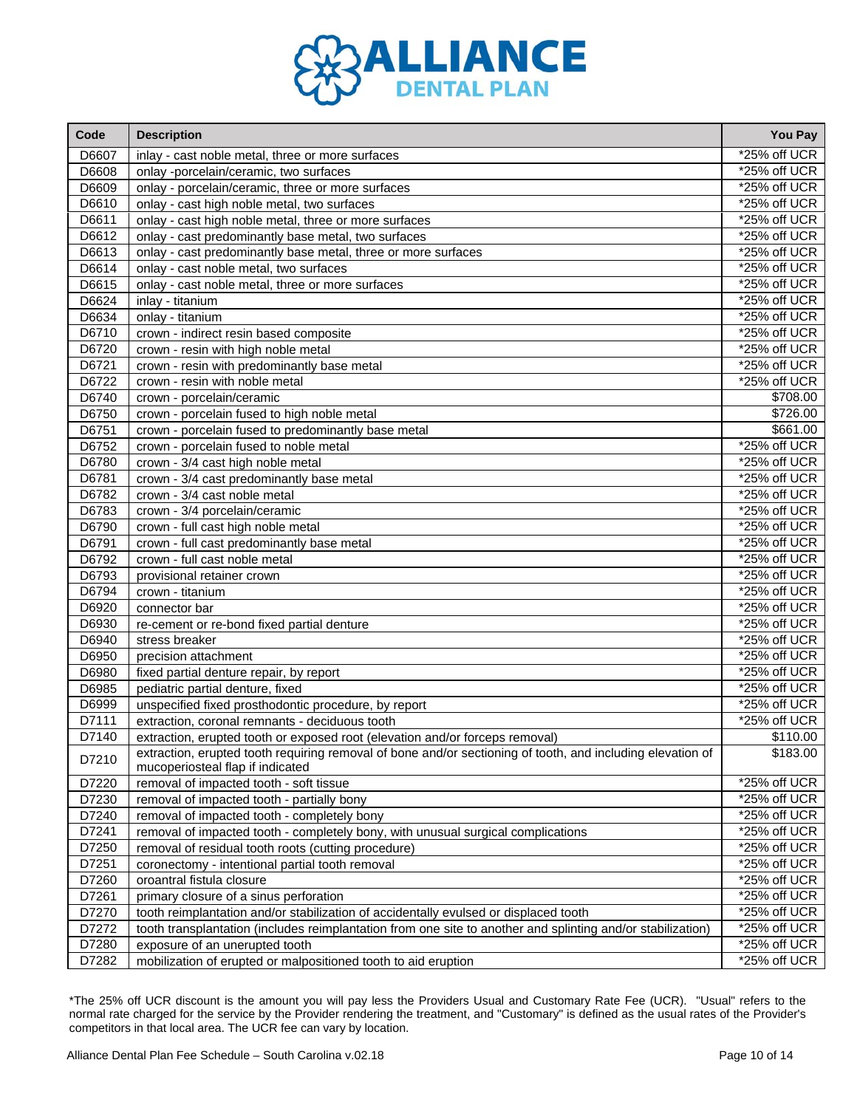

| Code  | <b>Description</b>                                                                                                                             | You Pay         |
|-------|------------------------------------------------------------------------------------------------------------------------------------------------|-----------------|
| D6607 | inlay - cast noble metal, three or more surfaces                                                                                               | *25% off UCR    |
| D6608 | onlay -porcelain/ceramic, two surfaces                                                                                                         | *25% off UCR    |
| D6609 | onlay - porcelain/ceramic, three or more surfaces                                                                                              | *25% off UCR    |
| D6610 | onlay - cast high noble metal, two surfaces                                                                                                    | *25% off UCR    |
| D6611 | onlay - cast high noble metal, three or more surfaces                                                                                          | *25% off UCR    |
| D6612 | onlay - cast predominantly base metal, two surfaces                                                                                            | *25% off UCR    |
| D6613 | onlay - cast predominantly base metal, three or more surfaces                                                                                  | $*25%$ off UCR  |
| D6614 | onlay - cast noble metal, two surfaces                                                                                                         | *25% off UCR    |
| D6615 | onlay - cast noble metal, three or more surfaces                                                                                               | *25% off UCR    |
| D6624 | inlay - titanium                                                                                                                               | *25% off UCR    |
| D6634 | onlay - titanium                                                                                                                               | *25% off UCR    |
| D6710 | crown - indirect resin based composite                                                                                                         | *25% off UCR    |
| D6720 | crown - resin with high noble metal                                                                                                            | *25% off UCR    |
| D6721 | crown - resin with predominantly base metal                                                                                                    | *25% off UCR    |
| D6722 | crown - resin with noble metal                                                                                                                 | *25% off UCR    |
| D6740 | crown - porcelain/ceramic                                                                                                                      | \$708.00        |
| D6750 | crown - porcelain fused to high noble metal                                                                                                    | \$726.00        |
| D6751 | crown - porcelain fused to predominantly base metal                                                                                            | \$661.00        |
| D6752 | crown - porcelain fused to noble metal                                                                                                         | *25% off UCR    |
| D6780 | crown - 3/4 cast high noble metal                                                                                                              | *25% off UCR    |
| D6781 | crown - 3/4 cast predominantly base metal                                                                                                      | *25% off UCR    |
| D6782 | crown - 3/4 cast noble metal                                                                                                                   | *25% off UCR    |
| D6783 | crown - 3/4 porcelain/ceramic                                                                                                                  | *25% off UCR    |
| D6790 | crown - full cast high noble metal                                                                                                             | *25% off UCR    |
| D6791 | crown - full cast predominantly base metal                                                                                                     | *25% off UCR    |
| D6792 | crown - full cast noble metal                                                                                                                  | *25% off UCR    |
| D6793 | provisional retainer crown                                                                                                                     | *25% off UCR    |
| D6794 | crown - titanium                                                                                                                               | *25% off UCR    |
| D6920 | connector bar                                                                                                                                  | *25% off UCR    |
| D6930 | re-cement or re-bond fixed partial denture                                                                                                     | *25% off UCR    |
| D6940 | stress breaker                                                                                                                                 | *25% off UCR    |
| D6950 | precision attachment                                                                                                                           | *25% off UCR    |
| D6980 | fixed partial denture repair, by report                                                                                                        | $*25%$ off UCR  |
| D6985 | pediatric partial denture, fixed                                                                                                               | *25% off UCR    |
| D6999 | unspecified fixed prosthodontic procedure, by report                                                                                           | *25% off UCR    |
| D7111 | extraction, coronal remnants - deciduous tooth                                                                                                 | *25% off UCR    |
| D7140 | extraction, erupted tooth or exposed root (elevation and/or forceps removal)                                                                   | \$110.00        |
| D7210 | extraction, erupted tooth requiring removal of bone and/or sectioning of tooth, and including elevation of<br>mucoperiosteal flap if indicated | \$183.00        |
| D7220 | removal of impacted tooth - soft tissue                                                                                                        | *25% off UCR    |
| D7230 | removal of impacted tooth - partially bony                                                                                                     | $*25%$ off UCR  |
| D7240 | removal of impacted tooth - completely bony                                                                                                    | *25% off UCR    |
| D7241 | removal of impacted tooth - completely bony, with unusual surgical complications                                                               | *25% off UCR    |
| D7250 | removal of residual tooth roots (cutting procedure)                                                                                            | *25% off UCR    |
| D7251 | coronectomy - intentional partial tooth removal                                                                                                | *25% off UCR    |
| D7260 | oroantral fistula closure                                                                                                                      | $*25\%$ off UCR |
| D7261 | primary closure of a sinus perforation                                                                                                         | *25% off UCR    |
| D7270 | tooth reimplantation and/or stabilization of accidentally evulsed or displaced tooth                                                           | *25% off UCR    |
| D7272 | tooth transplantation (includes reimplantation from one site to another and splinting and/or stabilization)                                    | *25% off UCR    |
| D7280 | exposure of an unerupted tooth                                                                                                                 | *25% off UCR    |
| D7282 | mobilization of erupted or malpositioned tooth to aid eruption                                                                                 | *25% off UCR    |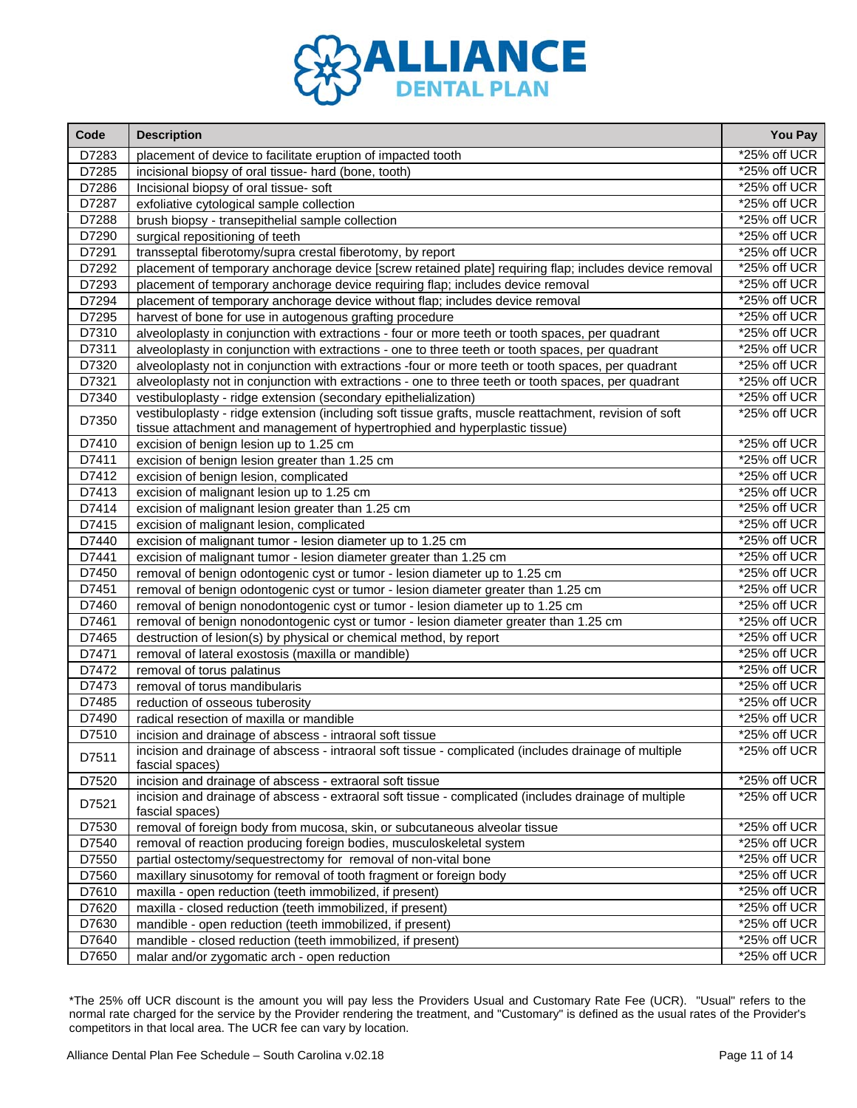

| Code  | <b>Description</b>                                                                                                                                                                   | You Pay         |
|-------|--------------------------------------------------------------------------------------------------------------------------------------------------------------------------------------|-----------------|
| D7283 | placement of device to facilitate eruption of impacted tooth                                                                                                                         | *25% off UCR    |
| D7285 | incisional biopsy of oral tissue- hard (bone, tooth)                                                                                                                                 | *25% off UCR    |
| D7286 | Incisional biopsy of oral tissue- soft                                                                                                                                               | *25% off UCR    |
| D7287 | exfoliative cytological sample collection                                                                                                                                            | *25% off UCR    |
| D7288 | brush biopsy - transepithelial sample collection                                                                                                                                     | *25% off UCR    |
| D7290 | surgical repositioning of teeth                                                                                                                                                      | *25% off UCR    |
| D7291 | transseptal fiberotomy/supra crestal fiberotomy, by report                                                                                                                           | *25% off UCR    |
| D7292 | placement of temporary anchorage device [screw retained plate] requiring flap; includes device removal                                                                               | *25% off UCR    |
| D7293 | placement of temporary anchorage device requiring flap; includes device removal                                                                                                      | *25% off UCR    |
| D7294 | placement of temporary anchorage device without flap; includes device removal                                                                                                        | *25% off UCR    |
| D7295 | harvest of bone for use in autogenous grafting procedure                                                                                                                             | $*25\%$ off UCR |
| D7310 | alveoloplasty in conjunction with extractions - four or more teeth or tooth spaces, per quadrant                                                                                     | *25% off UCR    |
| D7311 | alveoloplasty in conjunction with extractions - one to three teeth or tooth spaces, per quadrant                                                                                     | *25% off UCR    |
| D7320 | alveoloplasty not in conjunction with extractions -four or more teeth or tooth spaces, per quadrant                                                                                  | *25% off UCR    |
| D7321 | alveoloplasty not in conjunction with extractions - one to three teeth or tooth spaces, per quadrant                                                                                 | *25% off UCR    |
| D7340 | vestibuloplasty - ridge extension (secondary epithelialization)                                                                                                                      | *25% off UCR    |
| D7350 | vestibuloplasty - ridge extension (including soft tissue grafts, muscle reattachment, revision of soft<br>tissue attachment and management of hypertrophied and hyperplastic tissue) | *25% off UCR    |
| D7410 | excision of benign lesion up to 1.25 cm                                                                                                                                              | *25% off UCR    |
| D7411 | excision of benign lesion greater than 1.25 cm                                                                                                                                       | *25% off UCR    |
| D7412 | excision of benign lesion, complicated                                                                                                                                               | *25% off UCR    |
| D7413 | excision of malignant lesion up to 1.25 cm                                                                                                                                           | *25% off UCR    |
| D7414 | excision of malignant lesion greater than 1.25 cm                                                                                                                                    | *25% off UCR    |
| D7415 | excision of malignant lesion, complicated                                                                                                                                            | *25% off UCR    |
| D7440 | excision of malignant tumor - lesion diameter up to 1.25 cm                                                                                                                          | *25% off UCR    |
| D7441 | excision of malignant tumor - lesion diameter greater than 1.25 cm                                                                                                                   | *25% off UCR    |
| D7450 | removal of benign odontogenic cyst or tumor - lesion diameter up to 1.25 cm                                                                                                          | *25% off UCR    |
| D7451 | removal of benign odontogenic cyst or tumor - lesion diameter greater than 1.25 cm                                                                                                   | *25% off UCR    |
| D7460 | removal of benign nonodontogenic cyst or tumor - lesion diameter up to 1.25 cm                                                                                                       | *25% off UCR    |
| D7461 | removal of benign nonodontogenic cyst or tumor - lesion diameter greater than 1.25 cm                                                                                                | *25% off UCR    |
| D7465 | destruction of lesion(s) by physical or chemical method, by report                                                                                                                   | *25% off UCR    |
| D7471 | removal of lateral exostosis (maxilla or mandible)                                                                                                                                   | *25% off UCR    |
| D7472 | removal of torus palatinus                                                                                                                                                           | *25% off UCR    |
| D7473 | removal of torus mandibularis                                                                                                                                                        | $*25\%$ off UCR |
| D7485 | reduction of osseous tuberosity                                                                                                                                                      | $*25\%$ off UCR |
| D7490 | radical resection of maxilla or mandible                                                                                                                                             | *25% off UCR    |
| D7510 | incision and drainage of abscess - intraoral soft tissue                                                                                                                             | *25% off UCR    |
| D7511 | incision and drainage of abscess - intraoral soft tissue - complicated (includes drainage of multiple<br>fascial spaces)                                                             | *25% off UCR    |
| D7520 | incision and drainage of abscess - extraoral soft tissue                                                                                                                             | $*25%$ off UCR  |
| D7521 | incision and drainage of abscess - extraoral soft tissue - complicated (includes drainage of multiple<br>fascial spaces)                                                             | *25% off UCR    |
| D7530 | removal of foreign body from mucosa, skin, or subcutaneous alveolar tissue                                                                                                           | *25% off UCR    |
| D7540 | removal of reaction producing foreign bodies, musculoskeletal system                                                                                                                 | *25% off UCR    |
| D7550 | partial ostectomy/sequestrectomy for removal of non-vital bone                                                                                                                       | *25% off UCR    |
| D7560 | maxillary sinusotomy for removal of tooth fragment or foreign body                                                                                                                   | *25% off UCR    |
| D7610 | maxilla - open reduction (teeth immobilized, if present)                                                                                                                             | *25% off UCR    |
| D7620 | maxilla - closed reduction (teeth immobilized, if present)                                                                                                                           | *25% off UCR    |
| D7630 | mandible - open reduction (teeth immobilized, if present)                                                                                                                            | $*25%$ off UCR  |
| D7640 | mandible - closed reduction (teeth immobilized, if present)                                                                                                                          | *25% off UCR    |
| D7650 | malar and/or zygomatic arch - open reduction                                                                                                                                         | *25% off UCR    |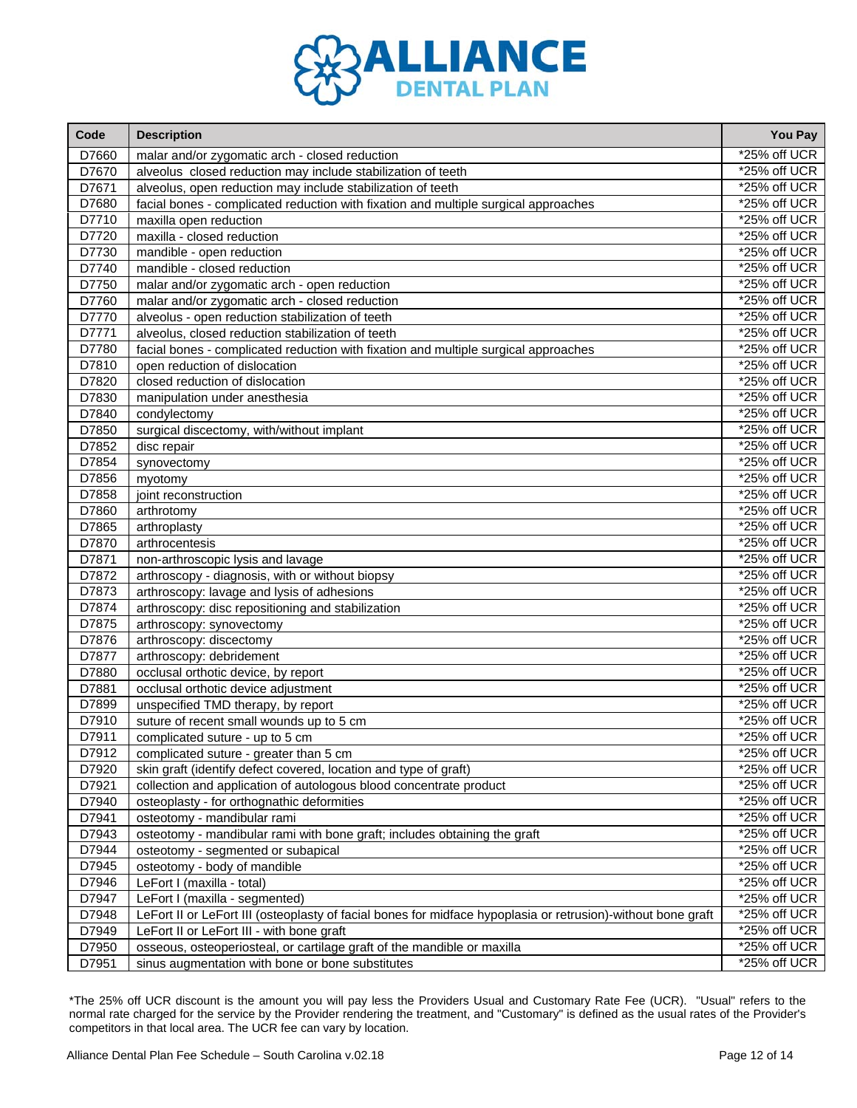

| Code  | <b>Description</b>                                                                                           | You Pay        |
|-------|--------------------------------------------------------------------------------------------------------------|----------------|
| D7660 | malar and/or zygomatic arch - closed reduction                                                               | *25% off UCR   |
| D7670 | alveolus closed reduction may include stabilization of teeth                                                 | $*25%$ off UCR |
| D7671 | alveolus, open reduction may include stabilization of teeth                                                  | *25% off UCR   |
| D7680 | facial bones - complicated reduction with fixation and multiple surgical approaches                          | *25% off UCR   |
| D7710 | maxilla open reduction                                                                                       | *25% off UCR   |
| D7720 | maxilla - closed reduction                                                                                   | *25% off UCR   |
| D7730 | mandible - open reduction                                                                                    | *25% off UCR   |
| D7740 | mandible - closed reduction                                                                                  | *25% off UCR   |
| D7750 | malar and/or zygomatic arch - open reduction                                                                 | *25% off UCR   |
| D7760 | malar and/or zygomatic arch - closed reduction                                                               | *25% off UCR   |
| D7770 | alveolus - open reduction stabilization of teeth                                                             | *25% off UCR   |
| D7771 | alveolus, closed reduction stabilization of teeth                                                            | *25% off UCR   |
| D7780 | facial bones - complicated reduction with fixation and multiple surgical approaches                          | *25% off UCR   |
| D7810 | open reduction of dislocation                                                                                | *25% off UCR   |
| D7820 | closed reduction of dislocation                                                                              | *25% off UCR   |
| D7830 | manipulation under anesthesia                                                                                | *25% off UCR   |
| D7840 | condylectomy                                                                                                 | *25% off UCR   |
| D7850 | surgical discectomy, with/without implant                                                                    | *25% off UCR   |
| D7852 | disc repair                                                                                                  | *25% off UCR   |
| D7854 | synovectomy                                                                                                  | *25% off UCR   |
| D7856 | myotomy                                                                                                      | *25% off UCR   |
| D7858 | joint reconstruction                                                                                         | *25% off UCR   |
| D7860 | arthrotomy                                                                                                   | *25% off UCR   |
| D7865 | arthroplasty                                                                                                 | *25% off UCR   |
| D7870 | arthrocentesis                                                                                               | *25% off UCR   |
| D7871 | non-arthroscopic lysis and lavage                                                                            | *25% off UCR   |
| D7872 | arthroscopy - diagnosis, with or without biopsy                                                              | *25% off UCR   |
| D7873 | arthroscopy: lavage and lysis of adhesions                                                                   | *25% off UCR   |
| D7874 | arthroscopy: disc repositioning and stabilization                                                            | $*25%$ off UCR |
| D7875 | arthroscopy: synovectomy                                                                                     | *25% off UCR   |
| D7876 | arthroscopy: discectomy                                                                                      | *25% off UCR   |
| D7877 | arthroscopy: debridement                                                                                     | *25% off UCR   |
| D7880 | occlusal orthotic device, by report                                                                          | *25% off UCR   |
| D7881 | occlusal orthotic device adjustment                                                                          | *25% off UCR   |
| D7899 | unspecified TMD therapy, by report                                                                           | *25% off UCR   |
| D7910 | suture of recent small wounds up to 5 cm                                                                     | *25% off UCR   |
| D7911 | complicated suture - up to 5 cm                                                                              | *25% off UCR   |
| D7912 | complicated suture - greater than 5 cm                                                                       | *25% off UCR   |
| D7920 | skin graft (identify defect covered, location and type of graft)                                             | *25% off UCR   |
| D7921 | collection and application of autologous blood concentrate product                                           | *25% off UCR   |
| D7940 | osteoplasty - for orthognathic deformities                                                                   | *25% off UCR   |
| D7941 | osteotomy - mandibular rami                                                                                  | *25% off UCR   |
| D7943 | osteotomy - mandibular rami with bone graft; includes obtaining the graft                                    | *25% off UCR   |
| D7944 | osteotomy - segmented or subapical                                                                           | *25% off UCR   |
| D7945 | osteotomy - body of mandible                                                                                 | *25% off UCR   |
| D7946 | LeFort I (maxilla - total)                                                                                   | *25% off UCR   |
| D7947 | LeFort I (maxilla - segmented)                                                                               | *25% off UCR   |
| D7948 | LeFort II or LeFort III (osteoplasty of facial bones for midface hypoplasia or retrusion)-without bone graft | *25% off UCR   |
| D7949 | LeFort II or LeFort III - with bone graft                                                                    | *25% off UCR   |
| D7950 | osseous, osteoperiosteal, or cartilage graft of the mandible or maxilla                                      | *25% off UCR   |
| D7951 | sinus augmentation with bone or bone substitutes                                                             | *25% off UCR   |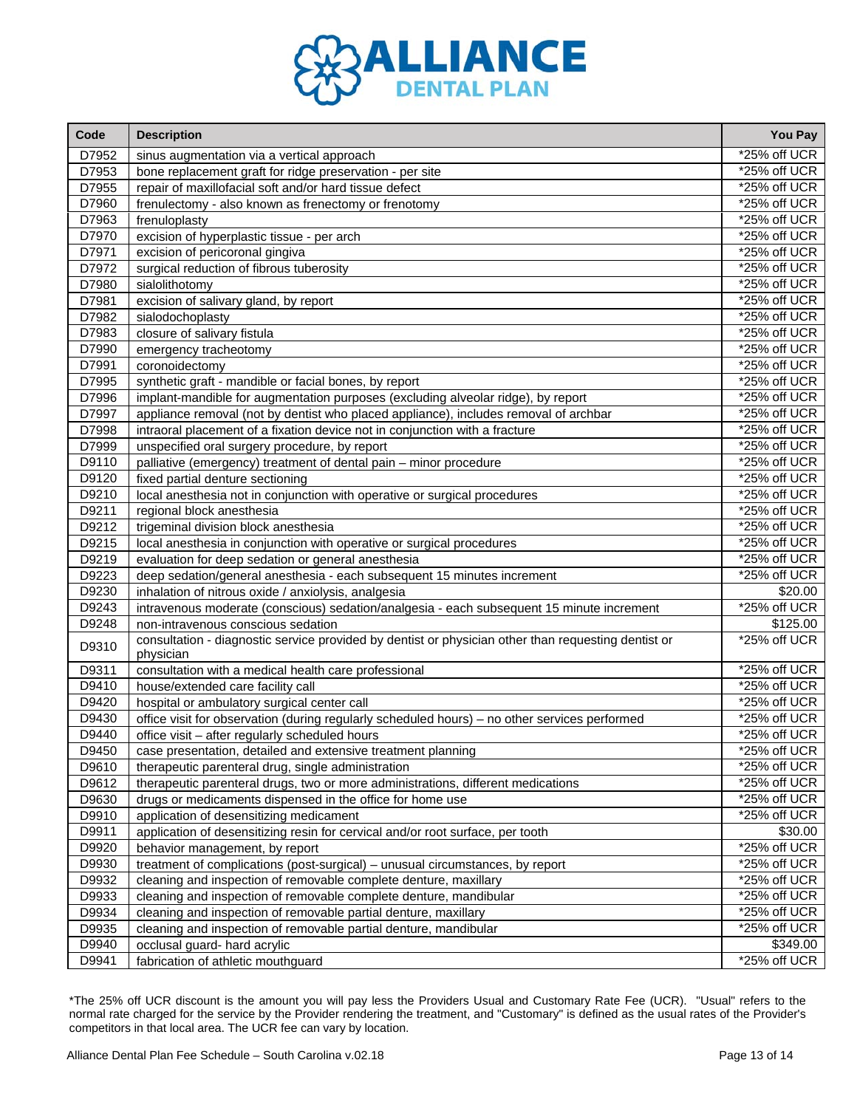

| Code  | <b>Description</b>                                                                                               | <b>You Pay</b>  |
|-------|------------------------------------------------------------------------------------------------------------------|-----------------|
| D7952 | sinus augmentation via a vertical approach                                                                       | *25% off UCR    |
| D7953 | bone replacement graft for ridge preservation - per site                                                         | *25% off UCR    |
| D7955 | repair of maxillofacial soft and/or hard tissue defect                                                           | $*25%$ off UCR  |
| D7960 | frenulectomy - also known as frenectomy or frenotomy                                                             | *25% off UCR    |
| D7963 | frenuloplasty                                                                                                    | *25% off UCR    |
| D7970 | excision of hyperplastic tissue - per arch                                                                       | *25% off UCR    |
| D7971 | excision of pericoronal gingiva                                                                                  | *25% off UCR    |
| D7972 | surgical reduction of fibrous tuberosity                                                                         | *25% off UCR    |
| D7980 | sialolithotomy                                                                                                   | $*25%$ off UCR  |
| D7981 | excision of salivary gland, by report                                                                            | *25% off UCR    |
| D7982 | sialodochoplasty                                                                                                 | *25% off UCR    |
| D7983 | closure of salivary fistula                                                                                      | *25% off UCR    |
| D7990 | emergency tracheotomy                                                                                            | *25% off UCR    |
| D7991 | coronoidectomy                                                                                                   | *25% off UCR    |
| D7995 | synthetic graft - mandible or facial bones, by report                                                            | *25% off UCR    |
| D7996 | implant-mandible for augmentation purposes (excluding alveolar ridge), by report                                 | *25% off UCR    |
| D7997 | appliance removal (not by dentist who placed appliance), includes removal of archbar                             | *25% off UCR    |
| D7998 | intraoral placement of a fixation device not in conjunction with a fracture                                      | *25% off UCR    |
| D7999 | unspecified oral surgery procedure, by report                                                                    | *25% off UCR    |
| D9110 | palliative (emergency) treatment of dental pain - minor procedure                                                | *25% off UCR    |
| D9120 | fixed partial denture sectioning                                                                                 | *25% off UCR    |
| D9210 | local anesthesia not in conjunction with operative or surgical procedures                                        | *25% off UCR    |
| D9211 | regional block anesthesia                                                                                        | *25% off UCR    |
| D9212 | trigeminal division block anesthesia                                                                             | *25% off UCR    |
| D9215 | local anesthesia in conjunction with operative or surgical procedures                                            | *25% off UCR    |
| D9219 | evaluation for deep sedation or general anesthesia                                                               | *25% off UCR    |
| D9223 | deep sedation/general anesthesia - each subsequent 15 minutes increment                                          | *25% off UCR    |
| D9230 | inhalation of nitrous oxide / anxiolysis, analgesia                                                              | \$20.00         |
| D9243 | intravenous moderate (conscious) sedation/analgesia - each subsequent 15 minute increment                        | *25% off UCR    |
| D9248 | non-intravenous conscious sedation                                                                               | \$125.00        |
| D9310 | consultation - diagnostic service provided by dentist or physician other than requesting dentist or<br>physician | *25% off UCR    |
| D9311 | consultation with a medical health care professional                                                             | *25% off UCR    |
| D9410 | house/extended care facility call                                                                                | *25% off UCR    |
| D9420 | hospital or ambulatory surgical center call                                                                      | *25% off UCR    |
| D9430 | office visit for observation (during regularly scheduled hours) - no other services performed                    | *25% off UCR    |
| D9440 | office visit - after regularly scheduled hours                                                                   | *25% off UCR    |
| D9450 | case presentation, detailed and extensive treatment planning                                                     | *25% off UCR    |
| D9610 | therapeutic parenteral drug, single administration                                                               | *25% off UCR    |
| D9612 | therapeutic parenteral drugs, two or more administrations, different medications                                 | *25% off UCR    |
| D9630 | drugs or medicaments dispensed in the office for home use                                                        | *25% off UCR    |
| D9910 | application of desensitizing medicament                                                                          | $*25%$ off UCR  |
| D9911 | application of desensitizing resin for cervical and/or root surface, per tooth                                   | \$30.00         |
| D9920 | behavior management, by report                                                                                   | *25% off UCR    |
| D9930 | treatment of complications (post-surgical) - unusual circumstances, by report                                    | *25% off UCR    |
| D9932 | cleaning and inspection of removable complete denture, maxillary                                                 | *25% off UCR    |
| D9933 | cleaning and inspection of removable complete denture, mandibular                                                | $*25\%$ off UCR |
| D9934 | cleaning and inspection of removable partial denture, maxillary                                                  | *25% off UCR    |
| D9935 | cleaning and inspection of removable partial denture, mandibular                                                 | *25% off UCR    |
| D9940 | occlusal guard- hard acrylic                                                                                     | \$349.00        |
| D9941 | fabrication of athletic mouthguard                                                                               | *25% off UCR    |